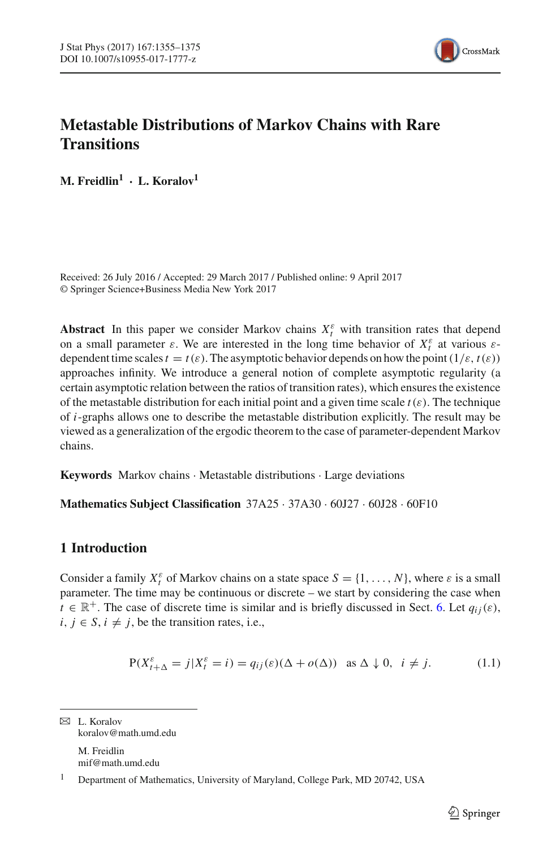

# **Metastable Distributions of Markov Chains with Rare Transitions**

**M. Freidlin<sup>1</sup> · L. Koralov<sup>1</sup>**

Received: 26 July 2016 / Accepted: 29 March 2017 / Published online: 9 April 2017 © Springer Science+Business Media New York 2017

**Abstract** In this paper we consider Markov chains  $X_t^{\varepsilon}$  with transition rates that depend on a small parameter  $\varepsilon$ . We are interested in the long time behavior of  $X_t^{\varepsilon}$  at various  $\varepsilon$ dependent time scales  $t = t(\varepsilon)$ . The asymptotic behavior depends on how the point  $(1/\varepsilon, t(\varepsilon))$ approaches infinity. We introduce a general notion of complete asymptotic regularity (a certain asymptotic relation between the ratios of transition rates), which ensures the existence of the metastable distribution for each initial point and a given time scale  $t(\varepsilon)$ . The technique of *i*-graphs allows one to describe the metastable distribution explicitly. The result may be viewed as a generalization of the ergodic theorem to the case of parameter-dependent Markov chains.

**Keywords** Markov chains · Metastable distributions · Large deviations

**Mathematics Subject Classification** 37A25 · 37A30 · 60J27 · 60J28 · 60F10

# **1 Introduction**

Consider a family  $X_t^{\varepsilon}$  of Markov chains on a state space  $S = \{1, ..., N\}$ , where  $\varepsilon$  is a small parameter. The time may be continuous or discrete – we start by considering the case when  $t \in \mathbb{R}^+$ . The case of discrete time is similar and is briefly discussed in Sect. [6.](#page-17-0) Let  $q_{ij}(\varepsilon)$ ,  $i, j \in S$ ,  $i \neq j$ , be the transition rates, i.e.,

<span id="page-0-0"></span>
$$
P(X_{t+\Delta}^{\varepsilon} = j | X_t^{\varepsilon} = i) = q_{ij}(\varepsilon)(\Delta + o(\Delta)) \text{ as } \Delta \downarrow 0, \ i \neq j.
$$
 (1.1)

 $\boxtimes$  L. Koralov koralov@math.umd.edu

> M. Freidlin mif@math.umd.edu

<sup>1</sup> Department of Mathematics, University of Maryland, College Park, MD 20742, USA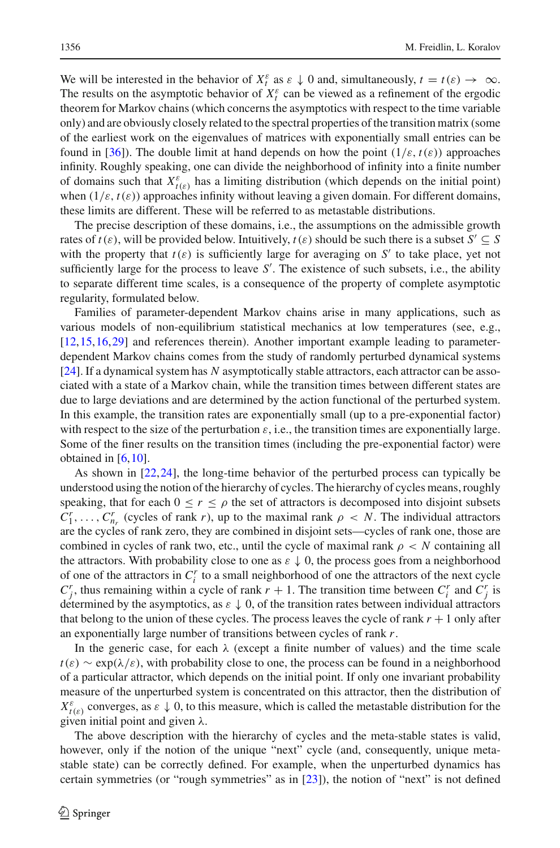We will be interested in the behavior of  $X_t^{\varepsilon}$  as  $\varepsilon \downarrow 0$  and, simultaneously,  $t = t(\varepsilon) \rightarrow \infty$ . The results on the asymptotic behavior of  $X_t^{\varepsilon}$  can be viewed as a refinement of the ergodic theorem for Markov chains (which concerns the asymptotics with respect to the time variable only) and are obviously closely related to the spectral properties of the transition matrix (some of the earliest work on the eigenvalues of matrices with exponentially small entries can be found in [\[36](#page-20-0)]). The double limit at hand depends on how the point  $(1/\varepsilon, t(\varepsilon))$  approaches infinity. Roughly speaking, one can divide the neighborhood of infinity into a finite number of domains such that  $X_{t(\varepsilon)}^{\varepsilon}$  has a limiting distribution (which depends on the initial point) when  $(1/\varepsilon, t(\varepsilon))$  approaches infinity without leaving a given domain. For different domains, these limits are different. These will be referred to as metastable distributions.

The precise description of these domains, i.e., the assumptions on the admissible growth rates of  $t(\varepsilon)$ , will be provided below. Intuitively,  $t(\varepsilon)$  should be such there is a subset  $S' \subset S$ with the property that  $t(\varepsilon)$  is sufficiently large for averaging on  $S'$  to take place, yet not sufficiently large for the process to leave *S* . The existence of such subsets, i.e., the ability to separate different time scales, is a consequence of the property of complete asymptotic regularity, formulated below.

Families of parameter-dependent Markov chains arise in many applications, such as various models of non-equilibrium statistical mechanics at low temperatures (see, e.g., [\[12,](#page-19-0)[15](#page-19-1)[,16](#page-19-2)[,29\]](#page-19-3) and references therein). Another important example leading to parameterdependent Markov chains comes from the study of randomly perturbed dynamical systems [\[24\]](#page-19-4). If a dynamical system has *N* asymptotically stable attractors, each attractor can be associated with a state of a Markov chain, while the transition times between different states are due to large deviations and are determined by the action functional of the perturbed system. In this example, the transition rates are exponentially small (up to a pre-exponential factor) with respect to the size of the perturbation  $\varepsilon$ , i.e., the transition times are exponentially large. Some of the finer results on the transition times (including the pre-exponential factor) were obtained in [\[6,](#page-19-5)[10](#page-19-6)].

As shown in [\[22](#page-19-7)[,24\]](#page-19-4), the long-time behavior of the perturbed process can typically be understood using the notion of the hierarchy of cycles. The hierarchy of cycles means, roughly speaking, that for each  $0 \le r \le \rho$  the set of attractors is decomposed into disjoint subsets  $C_1^r$ ,...,  $C_{n_r}^r$  (cycles of rank *r*), up to the maximal rank  $\rho \langle N$ . The individual attractors are the cycles of rank zero, they are combined in disjoint sets—cycles of rank one, those are combined in cycles of rank two, etc., until the cycle of maximal rank  $\rho < N$  containing all the attractors. With probability close to one as  $\varepsilon \downarrow 0$ , the process goes from a neighborhood of one of the attractors in *C<sup>r</sup> <sup>i</sup>* to a small neighborhood of one the attractors of the next cycle  $C_f^r$ , thus remaining within a cycle of rank  $r + 1$ . The transition time between  $C_i^r$  and  $C_j^r$  is determined by the asymptotics, as  $\varepsilon \downarrow 0$ , of the transition rates between individual attractors that belong to the union of these cycles. The process leaves the cycle of rank  $r + 1$  only after an exponentially large number of transitions between cycles of rank *r*.

In the generic case, for each  $\lambda$  (except a finite number of values) and the time scale  $t(\varepsilon) \sim \exp(\lambda/\varepsilon)$ , with probability close to one, the process can be found in a neighborhood of a particular attractor, which depends on the initial point. If only one invariant probability measure of the unperturbed system is concentrated on this attractor, then the distribution of  $X_{t(\varepsilon)}^{\varepsilon}$  converges, as  $\varepsilon \downarrow 0$ , to this measure, which is called the metastable distribution for the given initial point and given  $\lambda$ .

The above description with the hierarchy of cycles and the meta-stable states is valid, however, only if the notion of the unique "next" cycle (and, consequently, unique metastable state) can be correctly defined. For example, when the unperturbed dynamics has certain symmetries (or "rough symmetries" as in [\[23\]](#page-19-8)), the notion of "next" is not defined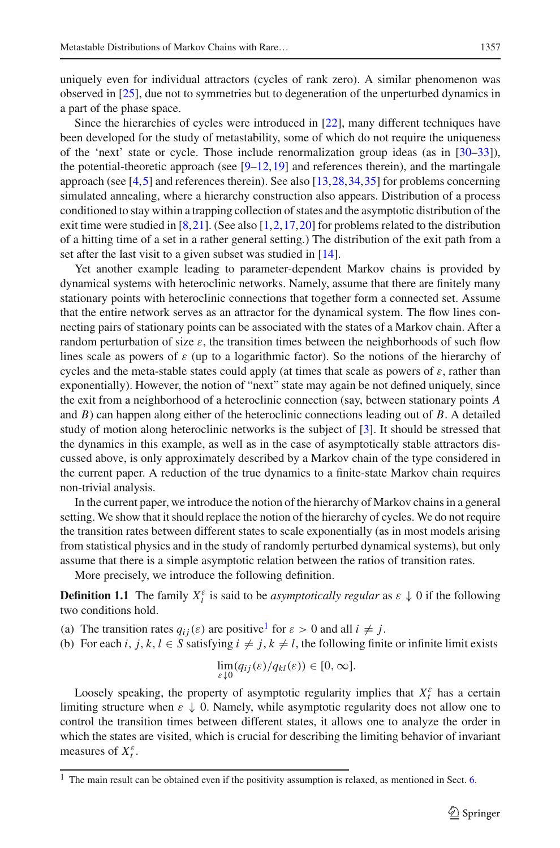uniquely even for individual attractors (cycles of rank zero). A similar phenomenon was observed in [\[25\]](#page-19-9), due not to symmetries but to degeneration of the unperturbed dynamics in a part of the phase space.

Since the hierarchies of cycles were introduced in [\[22](#page-19-7)], many different techniques have been developed for the study of metastability, some of which do not require the uniqueness of the 'next' state or cycle. Those include renormalization group ideas (as in [\[30](#page-20-1)[–33](#page-20-2)]), the potential-theoretic approach (see  $[9-12,19]$  $[9-12,19]$  $[9-12,19]$  and references therein), and the martingale approach (see [\[4](#page-19-12)[,5\]](#page-19-13) and references therein). See also [\[13](#page-19-14)[,28](#page-19-15),[34](#page-20-3)[,35\]](#page-20-4) for problems concerning simulated annealing, where a hierarchy construction also appears. Distribution of a process conditioned to stay within a trapping collection of states and the asymptotic distribution of the exit time were studied in  $[8,21]$  $[8,21]$ . (See also  $[1,2,17,20]$  $[1,2,17,20]$  $[1,2,17,20]$  $[1,2,17,20]$  $[1,2,17,20]$  for problems related to the distribution of a hitting time of a set in a rather general setting.) The distribution of the exit path from a set after the last visit to a given subset was studied in [\[14](#page-19-22)].

Yet another example leading to parameter-dependent Markov chains is provided by dynamical systems with heteroclinic networks. Namely, assume that there are finitely many stationary points with heteroclinic connections that together form a connected set. Assume that the entire network serves as an attractor for the dynamical system. The flow lines connecting pairs of stationary points can be associated with the states of a Markov chain. After a random perturbation of size  $\varepsilon$ , the transition times between the neighborhoods of such flow lines scale as powers of  $\varepsilon$  (up to a logarithmic factor). So the notions of the hierarchy of cycles and the meta-stable states could apply (at times that scale as powers of  $\varepsilon$ , rather than exponentially). However, the notion of "next" state may again be not defined uniquely, since the exit from a neighborhood of a heteroclinic connection (say, between stationary points *A* and *B*) can happen along either of the heteroclinic connections leading out of *B*. A detailed study of motion along heteroclinic networks is the subject of [\[3\]](#page-19-23). It should be stressed that the dynamics in this example, as well as in the case of asymptotically stable attractors discussed above, is only approximately described by a Markov chain of the type considered in the current paper. A reduction of the true dynamics to a finite-state Markov chain requires non-trivial analysis.

In the current paper, we introduce the notion of the hierarchy of Markov chains in a general setting. We show that it should replace the notion of the hierarchy of cycles. We do not require the transition rates between different states to scale exponentially (as in most models arising from statistical physics and in the study of randomly perturbed dynamical systems), but only assume that there is a simple asymptotic relation between the ratios of transition rates.

More precisely, we introduce the following definition.

**Definition 1.1** The family  $X_t^{\varepsilon}$  is said to be *asymptotically regular* as  $\varepsilon \downarrow 0$  if the following two conditions hold.

(a) The transition rates  $q_{ij}(\varepsilon)$  are positive<sup>[1](#page-2-0)</sup> for  $\varepsilon > 0$  and all  $i \neq j$ .

(b) For each *i*, *j*, *k*, *l*  $\in$  *S* satisfying  $i \neq j$ ,  $k \neq l$ , the following finite or infinite limit exists

$$
\lim_{\varepsilon \downarrow 0} (q_{ij}(\varepsilon)/q_{kl}(\varepsilon)) \in [0, \infty].
$$

Loosely speaking, the property of asymptotic regularity implies that  $X_t^{\varepsilon}$  has a certain limiting structure when  $\varepsilon \downarrow 0$ . Namely, while asymptotic regularity does not allow one to control the transition times between different states, it allows one to analyze the order in which the states are visited, which is crucial for describing the limiting behavior of invariant measures of  $X_t^{\varepsilon}$ .

<span id="page-2-0"></span><sup>&</sup>lt;sup>1</sup> The main result can be obtained even if the positivity assumption is relaxed, as mentioned in Sect. [6.](#page-17-0)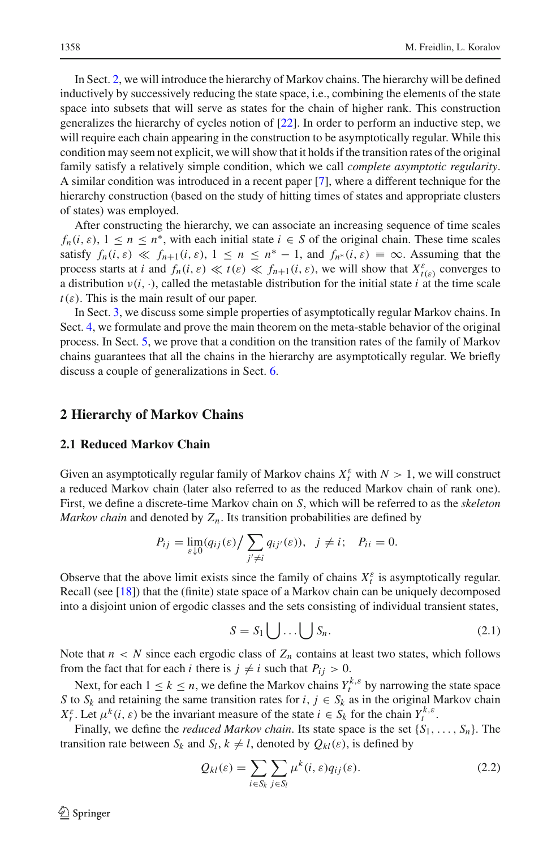In Sect. [2,](#page-3-0) we will introduce the hierarchy of Markov chains. The hierarchy will be defined inductively by successively reducing the state space, i.e., combining the elements of the state space into subsets that will serve as states for the chain of higher rank. This construction generalizes the hierarchy of cycles notion of [\[22](#page-19-7)]. In order to perform an inductive step, we will require each chain appearing in the construction to be asymptotically regular. While this condition may seem not explicit, we will show that it holds if the transition rates of the original family satisfy a relatively simple condition, which we call *complete asymptotic regularity*. A similar condition was introduced in a recent paper [\[7\]](#page-19-24), where a different technique for the hierarchy construction (based on the study of hitting times of states and appropriate clusters of states) was employed.

After constructing the hierarchy, we can associate an increasing sequence of time scales  $f_n(i, \varepsilon)$ ,  $1 \leq n \leq n^*$ , with each initial state  $i \in S$  of the original chain. These time scales satisfy  $f_n(i, \varepsilon) \ll f_{n+1}(i, \varepsilon), 1 \leq n \leq n^* - 1$ , and  $f_{n^*}(i, \varepsilon) \equiv \infty$ . Assuming that the process starts at *i* and  $f_n(i, \varepsilon) \ll t(\varepsilon) \ll f_{n+1}(i, \varepsilon)$ , we will show that  $X_{t(\varepsilon)}^{\varepsilon}$  converges to a distribution  $v(i, \cdot)$ , called the metastable distribution for the initial state *i* at the time scale  $t(\varepsilon)$ . This is the main result of our paper.

In Sect. [3,](#page-7-0) we discuss some simple properties of asymptotically regular Markov chains. In Sect. [4,](#page-9-0) we formulate and prove the main theorem on the meta-stable behavior of the original process. In Sect. [5,](#page-16-0) we prove that a condition on the transition rates of the family of Markov chains guarantees that all the chains in the hierarchy are asymptotically regular. We briefly discuss a couple of generalizations in Sect. [6.](#page-17-0)

# <span id="page-3-0"></span>**2 Hierarchy of Markov Chains**

#### **2.1 Reduced Markov Chain**

Given an asymptotically regular family of Markov chains  $X_t^{\varepsilon}$  with  $N > 1$ , we will construct a reduced Markov chain (later also referred to as the reduced Markov chain of rank one). First, we define a discrete-time Markov chain on *S*, which will be referred to as the *skeleton Markov chain* and denoted by  $Z_n$ . Its transition probabilities are defined by

$$
P_{ij} = \lim_{\varepsilon \downarrow 0} (q_{ij}(\varepsilon) / \sum_{j' \neq i} q_{ij'}(\varepsilon)), \ \ j \neq i; \ \ P_{ii} = 0.
$$

Observe that the above limit exists since the family of chains  $X_t^{\varepsilon}$  is asymptotically regular. Recall (see [\[18\]](#page-19-25)) that the (finite) state space of a Markov chain can be uniquely decomposed into a disjoint union of ergodic classes and the sets consisting of individual transient states,

<span id="page-3-2"></span>
$$
S = S_1 \bigcup \ldots \bigcup S_n. \tag{2.1}
$$

Note that  $n < N$  since each ergodic class of  $Z_n$  contains at least two states, which follows from the fact that for each *i* there is  $j \neq i$  such that  $P_{ij} > 0$ .

Next, for each  $1 \le k \le n$ , we define the Markov chains  $Y_t^{k,\varepsilon}$  by narrowing the state space *S* to  $S_k$  and retaining the same transition rates for *i*,  $j \in S_k$  as in the original Markov chain *X*<sub>t</sub><sup>ε</sup>. Let  $\mu^k(i, \varepsilon)$  be the invariant measure of the state  $i \in S_k$  for the chain  $Y_t^{k, \varepsilon}$ .

Finally, we define the *reduced Markov chain*. Its state space is the set  $\{S_1, \ldots, S_n\}$ . The transition rate between  $S_k$  and  $S_l$ ,  $k \neq l$ , denoted by  $Q_{kl}(\varepsilon)$ , is defined by

<span id="page-3-1"></span>
$$
Q_{kl}(\varepsilon) = \sum_{i \in S_k} \sum_{j \in S_l} \mu^k(i, \varepsilon) q_{ij}(\varepsilon).
$$
 (2.2)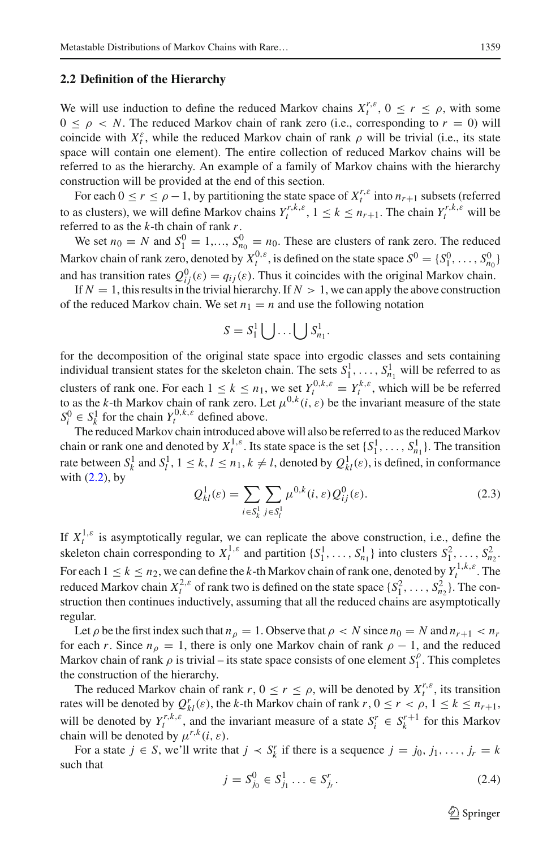#### **2.2 Definition of the Hierarchy**

We will use induction to define the reduced Markov chains  $X_t^{r,\varepsilon}$ ,  $0 \le r \le \rho$ , with some  $0 \le \rho \le N$ . The reduced Markov chain of rank zero (i.e., corresponding to  $r = 0$ ) will coincide with  $X_t^{\varepsilon}$ , while the reduced Markov chain of rank  $\rho$  will be trivial (i.e., its state space will contain one element). The entire collection of reduced Markov chains will be referred to as the hierarchy. An example of a family of Markov chains with the hierarchy construction will be provided at the end of this section.

For each  $0 \le r \le \rho - 1$ , by partitioning the state space of  $X_t^{r,\varepsilon}$  into  $n_{r+1}$  subsets (referred to as clusters), we will define Markov chains  $Y_t^{r,k,\varepsilon}$ ,  $1 \le k \le n_{r+1}$ . The chain  $Y_t^{r,k,\varepsilon}$  will be referred to as the *k*-th chain of rank *r*.

We set  $n_0 = N$  and  $S_1^0 = 1,..., S_{n_0}^0 = n_0$ . These are clusters of rank zero. The reduced Markov chain of rank zero, denoted by  $X_t^{0,\varepsilon}$ , is defined on the state space  $S^0 = \{S_1^0, \ldots, S_{n_0}^0\}$ and has transition rates  $Q_{ij}^0(\varepsilon) = q_{ij}(\varepsilon)$ . Thus it coincides with the original Markov chain.

If  $N = 1$ , this results in the trivial hierarchy. If  $N > 1$ , we can apply the above construction of the reduced Markov chain. We set  $n_1 = n$  and use the following notation

$$
S = S_1^1 \bigcup \ldots \bigcup S_{n_1}^1.
$$

for the decomposition of the original state space into ergodic classes and sets containing individual transient states for the skeleton chain. The sets  $S_1^1, \ldots, S_{n_1}^1$  will be referred to as clusters of rank one. For each  $1 \leq k \leq n_1$ , we set  $Y_t^{0,k,\varepsilon} = Y_t^{k,\varepsilon}$ , which will be be referred to as the *k*-th Markov chain of rank zero. Let  $\mu^{0,k}(i,\varepsilon)$  be the invariant measure of the state  $S_i^0 \in S_k^1$  for the chain  $Y_t^{0,k,\varepsilon}$  defined above.

The reduced Markov chain introduced above will also be referred to as the reduced Markov chain or rank one and denoted by  $X_t^{1,\varepsilon}$ . Its state space is the set  $\{S_1^1, \ldots, S_{n_1}^1\}$ . The transition rate between  $S_k^1$  and  $S_l^1$ ,  $1 \le k, l \le n_1, k \ne l$ , denoted by  $Q_{kl}^1(\varepsilon)$ , is defined, in conformance with  $(2.2)$ , by

<span id="page-4-0"></span>
$$
Q_{kl}^1(\varepsilon) = \sum_{i \in S_k^1} \sum_{j \in S_l^1} \mu^{0,k}(i,\varepsilon) Q_{ij}^0(\varepsilon).
$$
 (2.3)

If  $X_t^{1,\varepsilon}$  is asymptotically regular, we can replicate the above construction, i.e., define the skeleton chain corresponding to  $X_t^{1,\varepsilon}$  and partition  $\{S_1^1, \ldots, S_{n_1}^1\}$  into clusters  $S_1^2, \ldots, S_{n_2}^2$ . For each  $1 \le k \le n_2$ , we can define the *k*-th Markov chain of rank one, denoted by  $Y_t^{1,k,\varepsilon}$ . The reduced Markov chain  $X_t^{2,\varepsilon}$  of rank two is defined on the state space  $\{S_1^2, \ldots, S_{n_2}^2\}$ . The construction then continues inductively, assuming that all the reduced chains are asymptotically regular.

Let  $\rho$  be the first index such that  $n_{\rho} = 1$ . Observe that  $\rho < N$  since  $n_0 = N$  and  $n_{r+1} < n_r$ for each *r*. Since  $n_{\rho} = 1$ , there is only one Markov chain of rank  $\rho - 1$ , and the reduced Markov chain of rank  $\rho$  is trivial – its state space consists of one element  $S_1^{\rho}$ . This completes the construction of the hierarchy.

The reduced Markov chain of rank  $r$ ,  $0 \le r \le \rho$ , will be denoted by  $X_t^{r,\varepsilon}$ , its transition rates will be denoted by  $Q_{kl}^r(\varepsilon)$ , the *k*-th Markov chain of rank  $r, 0 \le r < \rho, 1 \le k \le n_{r+1}$ , will be denoted by  $Y_t^{r,k,\varepsilon}$ , and the invariant measure of a state  $S_t^r \in S_k^{r+1}$  for this Markov chain will be denoted by  $\mu^{r,k}(i, \varepsilon)$ .

For a state  $j \in S$ , we'll write that  $j \prec S_k^r$  if there is a sequence  $j = j_0, j_1, \ldots, j_r = k$ such that

<span id="page-4-1"></span>
$$
j = S_{j_0}^0 \in S_{j_1}^1 \dots \in S_{j_r}^r. \tag{2.4}
$$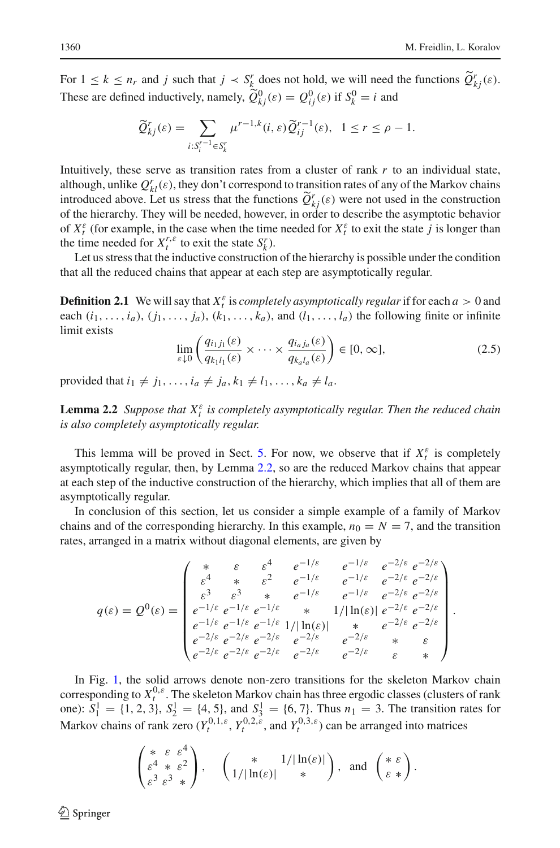For  $1 \leq k \leq n_r$  and *j* such that  $j \lt S_k^r$  does not hold, we will need the functions  $\tilde{Q}_{kj}^r(\varepsilon)$ . These are defined inductively, namely,  $\tilde{Q}_{kj}^0(\varepsilon) = Q_{ij}^0(\varepsilon)$  if  $S_k^0 = i$  and

$$
\widetilde{Q}_{kj}^r(\varepsilon) = \sum_{i:S_i^{r-1} \in S_k^r} \mu^{r-1,k}(i,\varepsilon) \widetilde{Q}_{ij}^{r-1}(\varepsilon), \quad 1 \le r \le \rho - 1.
$$

Intuitively, these serve as transition rates from a cluster of rank *r* to an individual state, although, unlike  $Q_{kl}^r(\varepsilon)$ , they don't correspond to transition rates of any of the Markov chains introduced above. Let us stress that the functions  $\widetilde{Q}^r_{k}( \varepsilon)$  were not used in the construction of the hierarchy. They will be needed however in extent describe the commutation helionics of the hierarchy. They will be needed, however, in order to describe the asymptotic behavior of  $X_t^{\varepsilon}$  (for example, in the case when the time needed for  $X_t^{\varepsilon}$  to exit the state *j* is longer than the time needed for  $X_t^{r,\varepsilon}$  to exit the state  $S_k^r$ ).

Let us stress that the inductive construction of the hierarchy is possible under the condition that all the reduced chains that appear at each step are asymptotically regular.

**Definition 2.1** We will say that  $X_t^{\varepsilon}$  is *completely asymptotically regular* if for each  $a > 0$  and each  $(i_1, \ldots, i_a)$ ,  $(j_1, \ldots, j_a)$ ,  $(k_1, \ldots, k_a)$ , and  $(l_1, \ldots, l_a)$  the following finite or infinite limit exists

<span id="page-5-1"></span>
$$
\lim_{\varepsilon \downarrow 0} \left( \frac{q_{i_1 j_1}(\varepsilon)}{q_{k_1 l_1}(\varepsilon)} \times \dots \times \frac{q_{i_a j_a}(\varepsilon)}{q_{k_a l_a}(\varepsilon)} \right) \in [0, \infty],
$$
\n(2.5)

provided that  $i_1 \neq j_1, \ldots, i_a \neq j_a, k_1 \neq l_1, \ldots, k_a \neq l_a$ .

<span id="page-5-0"></span>**Lemma 2.2** *Suppose that*  $X_t^{\varepsilon}$  *is completely asymptotically regular. Then the reduced chain is also completely asymptotically regular.*

This lemma will be proved in Sect. [5.](#page-16-0) For now, we observe that if  $X_t^{\varepsilon}$  is completely asymptotically regular, then, by Lemma [2.2,](#page-5-0) so are the reduced Markov chains that appear at each step of the inductive construction of the hierarchy, which implies that all of them are asymptotically regular.

In conclusion of this section, let us consider a simple example of a family of Markov chains and of the corresponding hierarchy. In this example,  $n_0 = N = 7$ , and the transition rates, arranged in a matrix without diagonal elements, are given by

$$
q(\varepsilon) = Q^{0}(\varepsilon) = \begin{pmatrix} * & \varepsilon & \varepsilon^{4} & e^{-1/\varepsilon} & e^{-1/\varepsilon} & e^{-2/\varepsilon} & e^{-2/\varepsilon} \\ \varepsilon^{4} & * & \varepsilon^{2} & e^{-1/\varepsilon} & e^{-1/\varepsilon} & e^{-2/\varepsilon} & e^{-2/\varepsilon} \\ \varepsilon^{3} & \varepsilon^{3} & * & e^{-1/\varepsilon} & e^{-1/\varepsilon} & e^{-2/\varepsilon} & e^{-2/\varepsilon} \\ e^{-1/\varepsilon} & e^{-1/\varepsilon} & * & 1/|\ln(\varepsilon)| & e^{-2/\varepsilon} & e^{-2/\varepsilon} \\ e^{-1/\varepsilon} & e^{-1/\varepsilon} & e^{-1/\varepsilon} & 1/|\ln(\varepsilon)| & * & e^{-2/\varepsilon} & e^{-2/\varepsilon} \\ e^{-2/\varepsilon} & e^{-2/\varepsilon} & e^{-2/\varepsilon} & e^{-2/\varepsilon} & * & \varepsilon \\ e^{-2/\varepsilon} & e^{-2/\varepsilon} & e^{-2/\varepsilon} & e^{-2/\varepsilon} & e^{-2/\varepsilon} & * & * \end{pmatrix}.
$$

In Fig. [1,](#page-6-0) the solid arrows denote non-zero transitions for the skeleton Markov chain corresponding to  $X_t^{0,\varepsilon}$ . The skeleton Markov chain has three ergodic classes (clusters of rank one):  $S_1^1 = \{1, 2, 3\}, S_2^1 = \{4, 5\}, \text{ and } S_3^1 = \{6, 7\}.$  Thus  $n_1 = 3$ . The transition rates for Markov chains of rank zero  $(Y_t^{0,1,\varepsilon}, Y_t^{0,2,\varepsilon})$ , and  $Y_t^{0,3,\varepsilon}$  can be arranged into matrices

$$
\begin{pmatrix} * & \varepsilon & \varepsilon^4 \\ \varepsilon^4 & * & \varepsilon^2 \\ \varepsilon^3 & \varepsilon^3 & * \end{pmatrix}, \quad \begin{pmatrix} * & 1/|\ln(\varepsilon)| \\ 1/|\ln(\varepsilon)| & * \end{pmatrix}, \text{ and } \begin{pmatrix} * & \varepsilon \\ \varepsilon & * \end{pmatrix}.
$$

 $\mathcal{L}$  Springer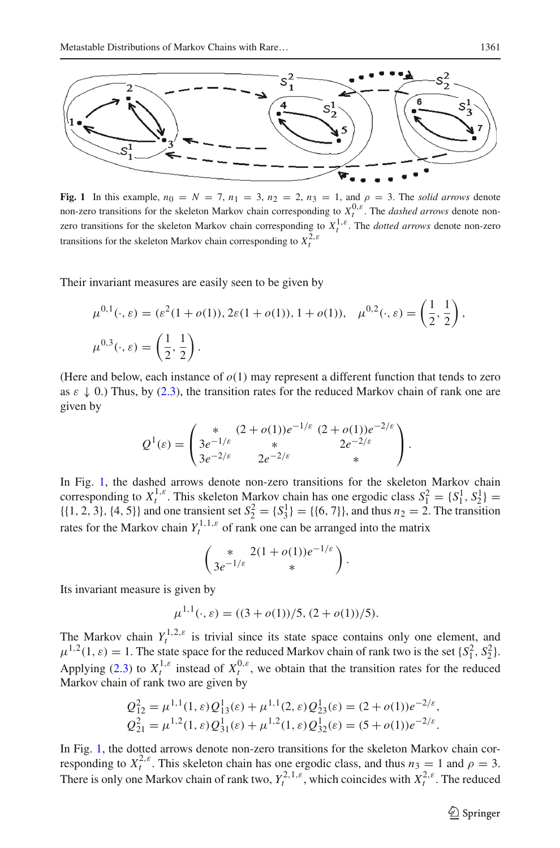

<span id="page-6-0"></span>**Fig. 1** In this example,  $n_0 = N = 7$ ,  $n_1 = 3$ ,  $n_2 = 2$ ,  $n_3 = 1$ , and  $\rho = 3$ . The *solid arrows* denote non-zero transitions for the skeleton Markov chain corresponding to  $X_t^{0,\varepsilon}$ . The *dashed arrows* denote nonzero transitions for the skeleton Markov chain corresponding to  $X_t^{1,\varepsilon}$ . The *dotted arrows* denote non-zero transitions for the skeleton Markov chain corresponding to  $X_t^{2,\varepsilon}$ 

Their invariant measures are easily seen to be given by

$$
\mu^{0,1}(\cdot,\varepsilon) = (\varepsilon^2(1+o(1)), 2\varepsilon(1+o(1)), 1+o(1)), \quad \mu^{0,2}(\cdot,\varepsilon) = \left(\frac{1}{2},\frac{1}{2}\right),
$$
  

$$
\mu^{0,3}(\cdot,\varepsilon) = \left(\frac{1}{2},\frac{1}{2}\right).
$$

(Here and below, each instance of  $o(1)$  may represent a different function that tends to zero as  $\varepsilon \downarrow 0$ .) Thus, by [\(2.3\)](#page-4-0), the transition rates for the reduced Markov chain of rank one are given by

$$
Q^{1}(\varepsilon) = \begin{pmatrix} * & (2+o(1))e^{-1/\varepsilon} & (2+o(1))e^{-2/\varepsilon} \\ 3e^{-1/\varepsilon} & * & 2e^{-2/\varepsilon} \\ 3e^{-2/\varepsilon} & 2e^{-2/\varepsilon} & * \end{pmatrix}.
$$

In Fig. [1,](#page-6-0) the dashed arrows denote non-zero transitions for the skeleton Markov chain corresponding to  $X_t^{1,\varepsilon}$ . This skeleton Markov chain has one ergodic class  $S_1^2 = \{S_1^1, S_2^1\} = \{\{1, 2, 3\}, \{4, 5\}\}\$  and one transient set  $S_2^2 = \{S_3^1\} = \{\{6, 7\}\}\$ , and thus  $n_2 = 2$ . The transition rates for the Markov chain  $Y_t^{1,1,\varepsilon}$  of rank one can be arranged into the matrix

$$
\begin{pmatrix} * & 2(1+o(1))e^{-1/\varepsilon} \\ 3e^{-1/\varepsilon} & * \end{pmatrix}.
$$

Its invariant measure is given by

$$
\mu^{1,1}(\cdot,\varepsilon) = ((3+o(1))/5, (2+o(1))/5).
$$

The Markov chain  $Y_t^{1,2,\varepsilon}$  is trivial since its state space contains only one element, and  $\mu^{1,2}(1,\varepsilon) = 1$ . The state space for the reduced Markov chain of rank two is the set  $\{S_1^2, S_2^2\}$ . Applying [\(2.3\)](#page-4-0) to  $X_t^{1,\epsilon}$  instead of  $X_t^{0,\epsilon}$ , we obtain that the transition rates for the reduced Markov chain of rank two are given by

$$
Q_{12}^2 = \mu^{1,1}(1,\varepsilon)Q_{13}^1(\varepsilon) + \mu^{1,1}(2,\varepsilon)Q_{23}^1(\varepsilon) = (2+o(1))e^{-2/\varepsilon},
$$
  
\n
$$
Q_{21}^2 = \mu^{1,2}(1,\varepsilon)Q_{31}^1(\varepsilon) + \mu^{1,2}(1,\varepsilon)Q_{32}^1(\varepsilon) = (5+o(1))e^{-2/\varepsilon}.
$$

In Fig. [1,](#page-6-0) the dotted arrows denote non-zero transitions for the skeleton Markov chain corresponding to  $X_t^{2,\varepsilon}$ . This skeleton chain has one ergodic class, and thus  $n_3 = 1$  and  $\rho = 3$ . There is only one Markov chain of rank two,  $Y_t^{2,1,\varepsilon}$ , which coincides with  $X_t^{2,\varepsilon}$ . The reduced

 $\circled{2}$  Springer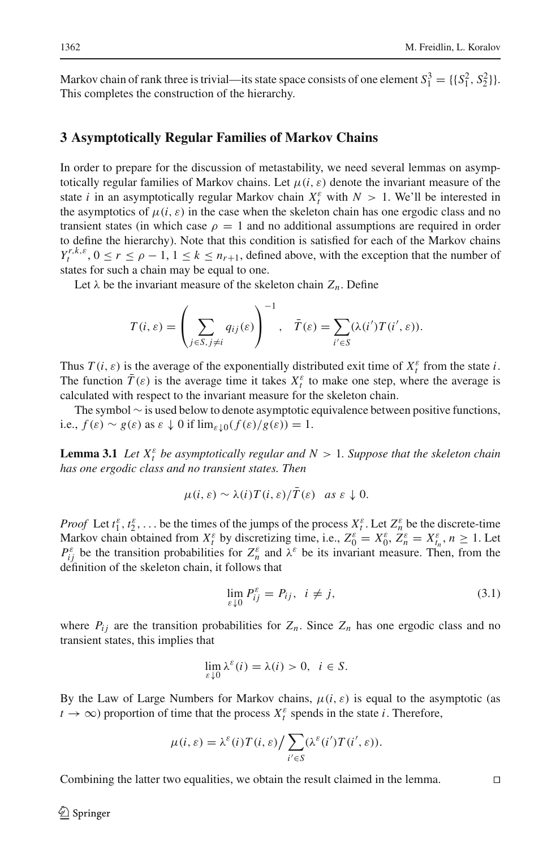Markov chain of rank three is trivial—its state space consists of one element  $S_1^3 = \{\{S_1^2, S_2^2\}\}\$ . This completes the construction of the hierarchy.

### <span id="page-7-0"></span>**3 Asymptotically Regular Families of Markov Chains**

In order to prepare for the discussion of metastability, we need several lemmas on asymptotically regular families of Markov chains. Let  $\mu(i, \varepsilon)$  denote the invariant measure of the state *i* in an asymptotically regular Markov chain  $X_t^{\varepsilon}$  with  $N > 1$ . We'll be interested in the asymptotics of  $\mu(i, \varepsilon)$  in the case when the skeleton chain has one ergodic class and no transient states (in which case  $\rho = 1$  and no additional assumptions are required in order to define the hierarchy). Note that this condition is satisfied for each of the Markov chains  $Y_t^{r,k,\varepsilon}$ ,  $0 \le r \le \rho - 1$ ,  $1 \le k \le n_{r+1}$ , defined above, with the exception that the number of states for such a chain may be equal to one.

Let  $\lambda$  be the invariant measure of the skeleton chain  $Z_n$ . Define

$$
T(i,\varepsilon) = \left(\sum_{j \in S, j \neq i} q_{ij}(\varepsilon)\right)^{-1}, \quad \bar{T}(\varepsilon) = \sum_{i' \in S} (\lambda(i')T(i',\varepsilon)).
$$

Thus  $T(i, \varepsilon)$  is the average of the exponentially distributed exit time of  $X_t^{\varepsilon}$  from the state *i*. The function  $\overline{T}(\varepsilon)$  is the average time it takes  $X_t^{\varepsilon}$  to make one step, where the average is calculated with respect to the invariant measure for the skeleton chain.

<span id="page-7-1"></span>The symbol ∼ is used below to denote asymptotic equivalence between positive functions, i.e.,  $f(\varepsilon) \sim g(\varepsilon)$  as  $\varepsilon \downarrow 0$  if  $\lim_{\varepsilon \downarrow 0} (f(\varepsilon)/g(\varepsilon)) = 1$ .

**Lemma 3.1** *Let*  $X_t^{\varepsilon}$  *be asymptotically regular and*  $N > 1$ *. Suppose that the skeleton chain has one ergodic class and no transient states. Then*

$$
\mu(i,\varepsilon) \sim \lambda(i) T(i,\varepsilon) / \overline{T}(\varepsilon) \quad \text{as } \varepsilon \downarrow 0.
$$

*Proof* Let  $t_1^{\varepsilon}, t_2^{\varepsilon}, \ldots$  be the times of the jumps of the process  $X_t^{\varepsilon}$ . Let  $Z_n^{\varepsilon}$  be the discrete-time Markov chain obtained from  $X_t^{\varepsilon}$  by discretizing time, i.e.,  $Z_0^{\varepsilon} = X_0^{\varepsilon}, Z_n^{\varepsilon} = X_{t_n}^{\varepsilon}, n \ge 1$ . Let  $P_{ij}^{\varepsilon}$  be the transition probabilities for  $Z_n^{\varepsilon}$  and  $\lambda^{\varepsilon}$  be its invariant measure. Then, from the definition of the skeleton chain, it follows that

<span id="page-7-2"></span>
$$
\lim_{\varepsilon \downarrow 0} P_{ij}^{\varepsilon} = P_{ij}, \quad i \neq j,
$$
\n(3.1)

where  $P_{ij}$  are the transition probabilities for  $Z_n$ . Since  $Z_n$  has one ergodic class and no transient states, this implies that

$$
\lim_{\varepsilon \downarrow 0} \lambda^{\varepsilon}(i) = \lambda(i) > 0, \ \ i \in S.
$$

By the Law of Large Numbers for Markov chains,  $\mu(i, \varepsilon)$  is equal to the asymptotic (as  $t \to \infty$ ) proportion of time that the process  $X_t^{\varepsilon}$  spends in the state *i*. Therefore,

$$
\mu(i,\varepsilon) = \lambda^{\varepsilon}(i)T(i,\varepsilon)\big/\sum_{i'\in S}(\lambda^{\varepsilon}(i')T(i',\varepsilon)).
$$

Combining the latter two equalities, we obtain the result claimed in the lemma.  $\Box$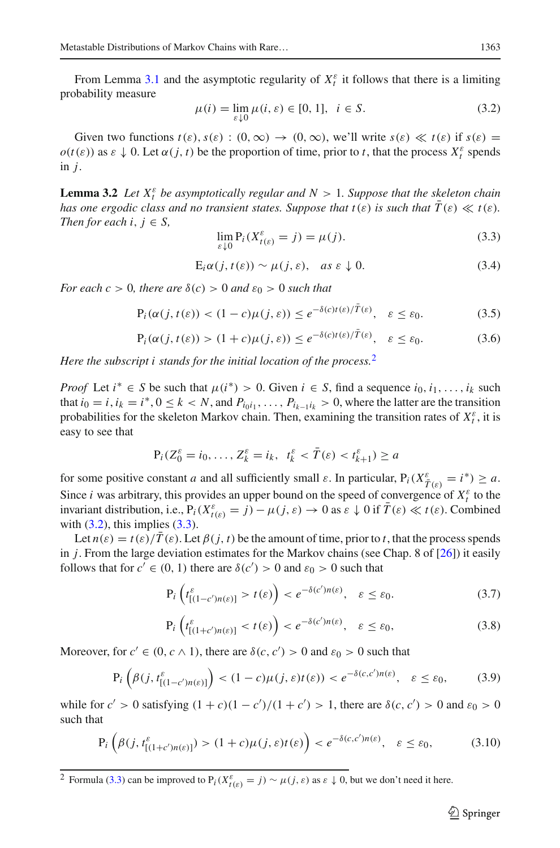From Lemma [3.1](#page-7-1) and the asymptotic regularity of  $X_t^{\varepsilon}$  it follows that there is a limiting probability measure

<span id="page-8-1"></span>
$$
\mu(i) = \lim_{\varepsilon \downarrow 0} \mu(i, \varepsilon) \in [0, 1], \quad i \in S.
$$
\n(3.2)

Given two functions  $t(\varepsilon), s(\varepsilon) : (0, \infty) \to (0, \infty)$ , we'll write  $s(\varepsilon) \ll t(\varepsilon)$  if  $s(\varepsilon) =$  $o(t(\varepsilon))$  as  $\varepsilon \downarrow 0$ . Let  $\alpha(j, t)$  be the proportion of time, prior to *t*, that the process  $X_t^{\varepsilon}$  spends in *j*.

<span id="page-8-10"></span>**Lemma 3.2** *Let*  $X_t^{\varepsilon}$  *be asymptotically regular and*  $N > 1$ *. Suppose that the skeleton chain has one ergodic class and no transient states. Suppose that*  $t(\varepsilon)$  *is such that*  $\overline{T}(\varepsilon) \ll t(\varepsilon)$ *. Then for each i*,  $j \in S$ ,

<span id="page-8-2"></span>
$$
\lim_{\varepsilon \downarrow 0} \mathbf{P}_i(X_{t(\varepsilon)}^{\varepsilon} = j) = \mu(j). \tag{3.3}
$$

<span id="page-8-9"></span>
$$
E_i \alpha(j, t(\varepsilon)) \sim \mu(j, \varepsilon), \quad \text{as } \varepsilon \downarrow 0. \tag{3.4}
$$

*For each c* > 0*, there are*  $\delta(c)$  > 0 *and*  $\varepsilon_0$  > 0 *such that* 

<span id="page-8-3"></span>
$$
P_i(\alpha(j, t(\varepsilon)) < (1 - c)\mu(j, \varepsilon)) \le e^{-\delta(c)t(\varepsilon)/T(\varepsilon)}, \quad \varepsilon \le \varepsilon_0. \tag{3.5}
$$

<span id="page-8-6"></span>
$$
P_i(\alpha(j, t(\varepsilon)) > (1+c)\mu(j, \varepsilon)) \le e^{-\delta(c)t(\varepsilon)/T(\varepsilon)}, \quad \varepsilon \le \varepsilon_0. \tag{3.6}
$$

*Here the subscript i stands for the initial location of the process.*[2](#page-8-0)

*Proof* Let  $i^* \in S$  be such that  $\mu(i^*) > 0$ . Given  $i \in S$ , find a sequence  $i_0, i_1, \ldots, i_k$  such that  $i_0 = i$ ,  $i_k = i^*$ ,  $0 \le k < N$ , and  $P_{i_0i_1}, \ldots, P_{i_{k-1}i_k} > 0$ , where the latter are the transition probabilities for the skeleton Markov chain. Then, examining the transition rates of  $X_t^{\varepsilon}$ , it is easy to see that

$$
P_i(Z_0^{\varepsilon} = i_0, \dots, Z_k^{\varepsilon} = i_k, t_k^{\varepsilon} < \overline{T}(\varepsilon) < t_{k+1}^{\varepsilon}) \ge a
$$

for some positive constant *a* and all sufficiently small  $\varepsilon$ . In particular,  $P_i(X_{\overline{T}(\varepsilon)}^{\varepsilon} = i^*) \ge a$ . Since *i* was arbitrary, this provides an upper bound on the speed of convergence of  $X_t^{\varepsilon}$  to the invariant distribution, i.e.,  $P_i(X_{t(\varepsilon)}^{\varepsilon} = j) - \mu(j, \varepsilon) \to 0$  as  $\varepsilon \downarrow 0$  if  $\overline{T}(\varepsilon) \ll t(\varepsilon)$ . Combined with  $(3.2)$ , this implies  $(3.3)$ .

Let  $n(\varepsilon) = t(\varepsilon)/T(\varepsilon)$ . Let  $\beta(j, t)$  be the amount of time, prior to *t*, that the process spends in *j*. From the large deviation estimates for the Markov chains (see Chap. 8 of [\[26](#page-19-26)]) it easily follows that for  $c' \in (0, 1)$  there are  $\delta(c') > 0$  and  $\varepsilon_0 > 0$  such that

<span id="page-8-4"></span>
$$
\Pr\left(t_{[(1-c')n(\varepsilon)]}^{\varepsilon} > t(\varepsilon)\right) < e^{-\delta(c')n(\varepsilon)}, \quad \varepsilon \leq \varepsilon_0. \tag{3.7}
$$

<span id="page-8-7"></span>
$$
\mathbf{P}_i \left( t_{[(1+c')n(\varepsilon)]}^{\varepsilon} < t(\varepsilon) \right) < e^{-\delta(c')n(\varepsilon)}, \quad \varepsilon \le \varepsilon_0,\tag{3.8}
$$

Moreover, for  $c' \in (0, c \wedge 1)$ , there are  $\delta(c, c') > 0$  and  $\varepsilon_0 > 0$  such that

<span id="page-8-5"></span>
$$
\mathbf{P}_i\left(\beta(j, t_{[(1-c')n(\varepsilon)]}^{\varepsilon}\right) < (1-c)\mu(j, \varepsilon)t(\varepsilon) < e^{-\delta(c, c')n(\varepsilon)}, \quad \varepsilon \le \varepsilon_0,\tag{3.9}
$$

while for  $c' > 0$  satisfying  $(1 + c)(1 - c')/(1 + c') > 1$ , there are  $\delta(c, c') > 0$  and  $\varepsilon_0 > 0$ such that

<span id="page-8-8"></span>
$$
\mathbf{P}_i\left(\beta(j, t_{[(1+c')n(\varepsilon)]}^{\varepsilon}) > (1+c)\mu(j, \varepsilon)t(\varepsilon)\right) < e^{-\delta(c, c')n(\varepsilon)}, \quad \varepsilon \le \varepsilon_0,\tag{3.10}
$$

<span id="page-8-0"></span><sup>2</sup> Formula [\(3.3\)](#page-8-2) can be improved to  $P_i(X_{t(\varepsilon)}^{\varepsilon} = j) \sim \mu(j, \varepsilon)$  as  $\varepsilon \downarrow 0$ , but we don't need it here.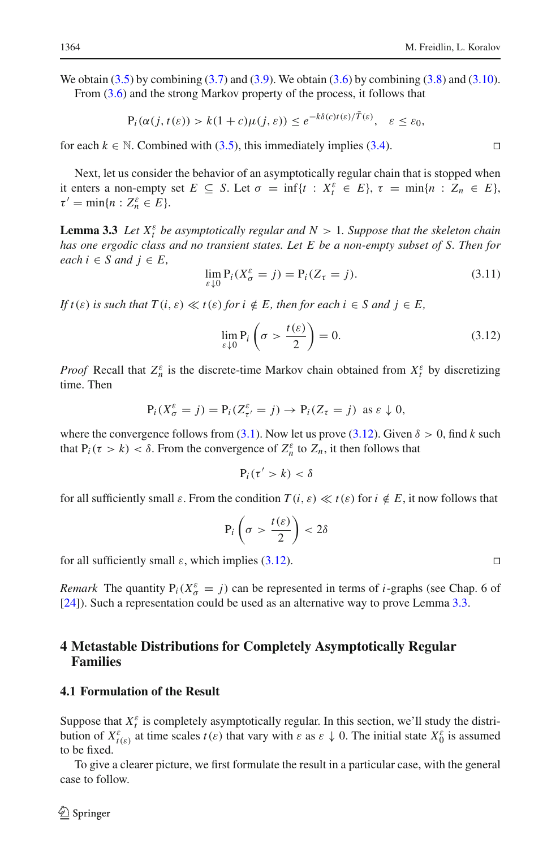We obtain  $(3.5)$  by combining  $(3.7)$  and  $(3.9)$ . We obtain  $(3.6)$  by combining  $(3.8)$  and  $(3.10)$ . From [\(3.6\)](#page-8-6) and the strong Markov property of the process, it follows that

$$
P_i(\alpha(j, t(\varepsilon)) > k(1+c)\mu(j, \varepsilon)) \leq e^{-k\delta(c)t(\varepsilon)/T(\varepsilon)}, \quad \varepsilon \leq \varepsilon_0,
$$

for each  $k \in \mathbb{N}$ . Combined with [\(3.5\)](#page-8-3), this immediately implies [\(3.4\)](#page-8-9). □

Next, let us consider the behavior of an asymptotically regular chain that is stopped when it enters a non-empty set  $E \subseteq S$ . Let  $\sigma = \inf\{t : X_t^{\varepsilon} \in E\}$ ,  $\tau = \min\{n : Z_n \in E\}$ ,  $\tau' = \min\{n : Z_n^{\varepsilon} \in E\}.$ 

<span id="page-9-2"></span>**Lemma 3.3** *Let*  $X_t^{\varepsilon}$  *be asymptotically regular and*  $N > 1$ *. Suppose that the skeleton chain has one ergodic class and no transient states. Let E be a non-empty subset of S. Then for*  $each i ∈ S and j ∈ E,$ 

<span id="page-9-3"></span>
$$
\lim_{\varepsilon \downarrow 0} \mathcal{P}_i(X_\sigma^\varepsilon = j) = \mathcal{P}_i(Z_\tau = j). \tag{3.11}
$$

*If*  $t(\varepsilon)$  *is such that*  $T(i, \varepsilon) \ll t(\varepsilon)$  *for*  $i \notin E$ *, then for each*  $i \in S$  *and*  $j \in E$ *,* 

<span id="page-9-1"></span>
$$
\lim_{\varepsilon \downarrow 0} \mathbf{P}_i \left( \sigma > \frac{t(\varepsilon)}{2} \right) = 0. \tag{3.12}
$$

*Proof* Recall that  $Z_n^{\varepsilon}$  is the discrete-time Markov chain obtained from  $X_t^{\varepsilon}$  by discretizing time. Then

$$
P_i(X_{\sigma}^{\varepsilon} = j) = P_i(Z_{\tau'}^{\varepsilon} = j) \rightarrow P_i(Z_{\tau} = j) \text{ as } \varepsilon \downarrow 0,
$$

where the convergence follows from [\(3.1\)](#page-7-2). Now let us prove [\(3.12\)](#page-9-1). Given  $\delta > 0$ , find *k* such that  $P_i(\tau > k) < \delta$ . From the convergence of  $Z_n^{\varepsilon}$  to  $Z_n$ , it then follows that

$$
P_i(\tau' > k) < \delta
$$

for all sufficiently small  $\varepsilon$ . From the condition  $T(i, \varepsilon) \ll t(\varepsilon)$  for  $i \notin E$ , it now follows that

$$
\Pr\left(\sigma > \frac{t(\varepsilon)}{2}\right) < 2\delta
$$

for all sufficiently small  $\varepsilon$ , which implies [\(3.12\)](#page-9-1).

*Remark* The quantity  $P_i(X_{\sigma}^{\varepsilon} = j)$  can be represented in terms of *i*-graphs (see Chap. 6 of [\[24\]](#page-19-4)). Such a representation could be used as an alternative way to prove Lemma [3.3.](#page-9-2)

# <span id="page-9-0"></span>**4 Metastable Distributions for Completely Asymptotically Regular Families**

# **4.1 Formulation of the Result**

Suppose that  $X_t^{\varepsilon}$  is completely asymptotically regular. In this section, we'll study the distribution of  $X_{t(\varepsilon)}^{\varepsilon}$  at time scales  $t(\varepsilon)$  that vary with  $\varepsilon$  as  $\varepsilon \downarrow 0$ . The initial state  $X_0^{\varepsilon}$  is assumed to be fixed.

To give a clearer picture, we first formulate the result in a particular case, with the general case to follow.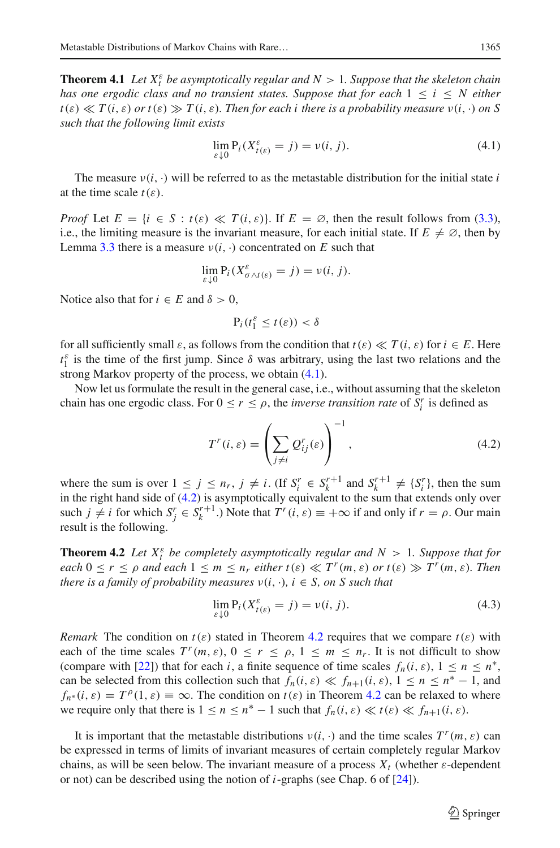**Theorem 4.1** Let  $X_t^{\varepsilon}$  be asymptotically regular and  $N > 1$ . Suppose that the skeleton chain *has one ergodic class and no transient states. Suppose that for each* 1 ≤ *i* ≤ *N either*  $t(\varepsilon) \ll T(i, \varepsilon)$  *or*  $t(\varepsilon) \gg T(i, \varepsilon)$ *. Then for each i there is a probability measure*  $v(i, \cdot)$  *on S such that the following limit exists*

<span id="page-10-0"></span>
$$
\lim_{\varepsilon \downarrow 0} \mathcal{P}_i(X_{t(\varepsilon)}^{\varepsilon} = j) = \nu(i, j). \tag{4.1}
$$

The measure  $v(i, \cdot)$  will be referred to as the metastable distribution for the initial state *i* at the time scale  $t(\varepsilon)$ .

*Proof* Let  $E = \{i \in S : t(\varepsilon) \ll T(i, \varepsilon)\}\$ . If  $E = \emptyset$ , then the result follows from [\(3.3\)](#page-8-2), i.e., the limiting measure is the invariant measure, for each initial state. If  $E \neq \emptyset$ , then by Lemma [3.3](#page-9-2) there is a measure  $v(i, \cdot)$  concentrated on *E* such that

$$
\lim_{\varepsilon \downarrow 0} \mathsf{P}_i(X_{\sigma \wedge t(\varepsilon)}^{\varepsilon} = j) = \nu(i, j).
$$

Notice also that for  $i \in E$  and  $\delta > 0$ ,

$$
P_i(t_1^{\varepsilon} \leq t(\varepsilon)) < \delta
$$

for all sufficiently small  $\varepsilon$ , as follows from the condition that  $t(\varepsilon) \ll T(i, \varepsilon)$  for  $i \in E$ . Here  $t_1^{\varepsilon}$  is the time of the first jump. Since  $\delta$  was arbitrary, using the last two relations and the strong Markov property of the process, we obtain  $(4.1)$ .

Now let us formulate the result in the general case, i.e., without assuming that the skeleton chain has one ergodic class. For  $0 \le r \le \rho$ , the *inverse transition rate* of  $S_i^r$  is defined as

<span id="page-10-1"></span>
$$
T^{r}(i,\varepsilon) = \left(\sum_{j\neq i} Q^{r}_{ij}(\varepsilon)\right)^{-1},\tag{4.2}
$$

where the sum is over  $1 \leq j \leq n_r$ ,  $j \neq i$ . (If  $S_i^r \in S_k^{r+1}$  and  $S_k^{r+1} \neq \{S_i^r\}$ , then the sum in the right hand side of [\(4.2\)](#page-10-1) is asymptotically equivalent to the sum that extends only over such  $j \neq i$  for which  $S_j^r \in S_k^{r+1}$ .) Note that  $T^r(i, \varepsilon) \equiv +\infty$  if and only if  $r = \rho$ . Our main result is the following.

<span id="page-10-2"></span>**Theorem 4.2** *Let*  $X_t^{\varepsilon}$  *be completely asymptotically regular and*  $N > 1$ *. Suppose that for each*  $0 \le r \le \rho$  *and each*  $1 \le m \le n_r$  *either*  $t(\varepsilon) \ll T^r(m, \varepsilon)$  *or*  $t(\varepsilon) \gg T^r(m, \varepsilon)$ *. Then there is a family of probability measures*  $v(i, \cdot)$ *, i*  $\in$  *S, on S such that* 

$$
\lim_{\varepsilon \downarrow 0} \mathcal{P}_i(X_{t(\varepsilon)}^{\varepsilon} = j) = \nu(i, j). \tag{4.3}
$$

*Remark* The condition on  $t(\varepsilon)$  stated in Theorem [4.2](#page-10-2) requires that we compare  $t(\varepsilon)$  with each of the time scales  $T^r(m, \varepsilon)$ ,  $0 \le r \le \rho$ ,  $1 \le m \le n_r$ . It is not difficult to show (compare with [\[22](#page-19-7)]) that for each *i*, a finite sequence of time scales  $f_n(i, \varepsilon)$ ,  $1 \le n \le n^*$ , can be selected from this collection such that  $f_n(i, \varepsilon) \ll f_{n+1}(i, \varepsilon), 1 \le n \le n^* - 1$ , and  $f_{n^*}(i, \varepsilon) = T^{\rho}(1, \varepsilon) \equiv \infty$ . The condition on  $t(\varepsilon)$  in Theorem [4.2](#page-10-2) can be relaxed to where we require only that there is  $1 \le n \le n^* - 1$  such that  $f_n(i, \varepsilon) \ll t(\varepsilon) \ll f_{n+1}(i, \varepsilon)$ .

It is important that the metastable distributions  $v(i, \cdot)$  and the time scales  $T^r(m, \varepsilon)$  can be expressed in terms of limits of invariant measures of certain completely regular Markov chains, as will be seen below. The invariant measure of a process  $X_t$  (whether  $\varepsilon$ -dependent or not) can be described using the notion of *i*-graphs (see Chap. 6 of [\[24\]](#page-19-4)).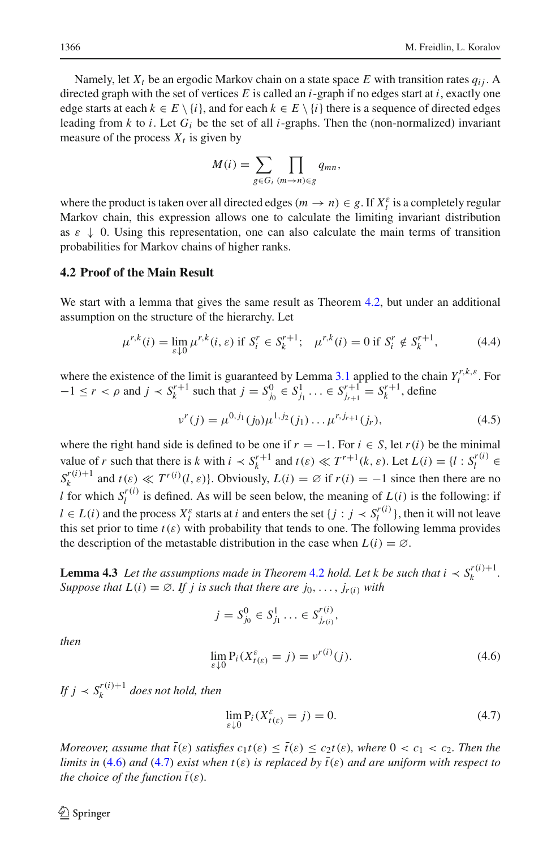Namely, let  $X_t$  be an ergodic Markov chain on a state space E with transition rates  $q_{ij}$ . A directed graph with the set of vertices *E* is called an *i*-graph if no edges start at *i*, exactly one edge starts at each  $k \in E \setminus \{i\}$ , and for each  $k \in E \setminus \{i\}$  there is a sequence of directed edges leading from  $k$  to  $i$ . Let  $G_i$  be the set of all  $i$ -graphs. Then the (non-normalized) invariant measure of the process  $X_t$  is given by

$$
M(i) = \sum_{g \in G_i} \prod_{(m \to n) \in g} q_{mn},
$$

where the product is taken over all directed edges ( $m \rightarrow n$ )  $\in g$ . If  $X_t^{\varepsilon}$  is a completely regular Markov chain, this expression allows one to calculate the limiting invariant distribution as  $\varepsilon \downarrow 0$ . Using this representation, one can also calculate the main terms of transition probabilities for Markov chains of higher ranks.

### **4.2 Proof of the Main Result**

We start with a lemma that gives the same result as Theorem [4.2,](#page-10-2) but under an additional assumption on the structure of the hierarchy. Let

<span id="page-11-3"></span>
$$
\mu^{r,k}(i) = \lim_{\varepsilon \downarrow 0} \mu^{r,k}(i,\varepsilon) \text{ if } S_i^r \in S_k^{r+1}; \quad \mu^{r,k}(i) = 0 \text{ if } S_i^r \notin S_k^{r+1},\tag{4.4}
$$

where the existence of the limit is guaranteed by Lemma [3.1](#page-7-1) applied to the chain  $Y_t^{r,k,\varepsilon}$ . For  $-1 \le r < \rho$  and  $j < S_k^{r+1}$  such that  $j = S_{j_0}^0 \in S_{j_1}^1 \ldots \in S_{j_{r+1}}^{r+1} = S_k^{r+1}$ , define

<span id="page-11-2"></span>
$$
v^{r}(j) = \mu^{0,j_1}(j_0)\mu^{1,j_2}(j_1)\dots\mu^{r,j_{r+1}}(j_r),
$$
\n(4.5)

where the right hand side is defined to be one if  $r = -1$ . For  $i \in S$ , let  $r(i)$  be the minimal value of *r* such that there is *k* with  $i \prec S_k^{r+1}$  and  $t(\varepsilon) \ll T^{r+1}(k, \varepsilon)$ . Let  $L(i) = \{l : S_l^{r(i)} \in \mathbb{R}^d\}$  $S_k^{r(i)+1}$  and  $t(\varepsilon) \ll T^{r(i)}(l, \varepsilon)$ . Obviously,  $L(i) = \emptyset$  if  $r(i) = -1$  since then there are no *l* for which  $S_l^{r(i)}$  is defined. As will be seen below, the meaning of  $L(i)$  is the following: if  $l \in L(i)$  and the process  $X_t^{\varepsilon}$  starts at *i* and enters the set  $\{j : j \prec S_l^{r(i)}\}$ , then it will not leave this set prior to time  $t(\varepsilon)$  with probability that tends to one. The following lemma provides the description of the metastable distribution in the case when  $L(i) = \emptyset$ .

<span id="page-11-4"></span>**Lemma 4.3** *Let the assumptions made in Theorem [4.2](#page-10-2) hold. Let k be such that*  $i \lt s_k^{r(i)+1}$ *. Suppose that*  $L(i) = \emptyset$ *. If j is such that there are j*<sub>0</sub>, ..., *j<sub>r(i)</sub> with* 

$$
j = S_{j_0}^0 \in S_{j_1}^1 \ldots \in S_{j_{r(i)}}^{r(i)},
$$

*then*

<span id="page-11-0"></span>
$$
\lim_{\varepsilon \downarrow 0} \mathbf{P}_i (X_{t(\varepsilon)}^{\varepsilon} = j) = v^{r(i)}(j). \tag{4.6}
$$

*If*  $j \lt S_k^{r(i)+1}$  does not hold, then

<span id="page-11-1"></span>
$$
\lim_{\varepsilon \downarrow 0} \mathbf{P}_i(X_{t(\varepsilon)}^{\varepsilon} = j) = 0. \tag{4.7}
$$

*Moreover, assume that*  $\bar{t}(\varepsilon)$  *satisfies*  $c_1t(\varepsilon) \leq \bar{t}(\varepsilon) \leq c_2t(\varepsilon)$ *, where*  $0 < c_1 < c_2$ *. Then the limits in* [\(4.6\)](#page-11-0) *and* [\(4.7\)](#page-11-1) *exist when*  $t(\varepsilon)$  *is replaced by*  $\bar{t}(\varepsilon)$  *and are uniform with respect to the choice of the function*  $\bar{t}(\varepsilon)$ *.*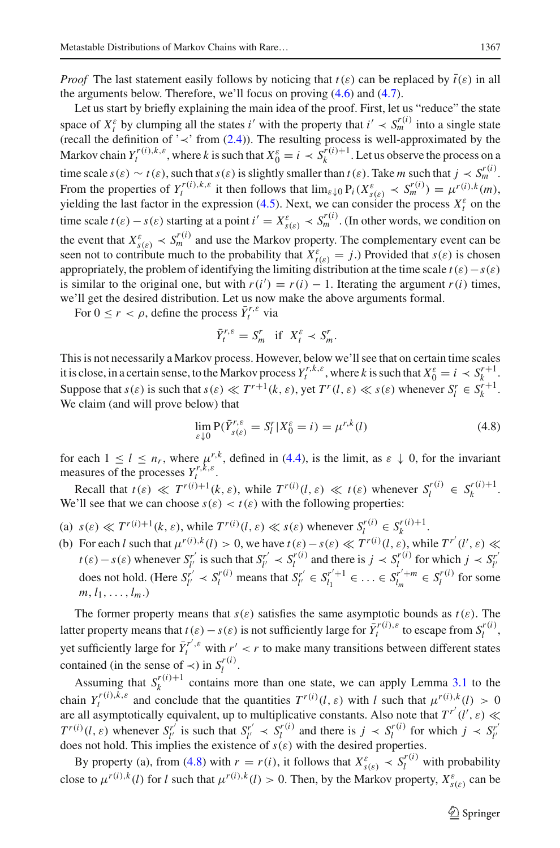*Proof* The last statement easily follows by noticing that  $t(\varepsilon)$  can be replaced by  $\bar{t}(\varepsilon)$  in all the arguments below. Therefore, we'll focus on proving [\(4.6\)](#page-11-0) and [\(4.7\)](#page-11-1).

Let us start by briefly explaining the main idea of the proof. First, let us "reduce" the state space of  $X_t^{\varepsilon}$  by clumping all the states *i*' with the property that  $i' \prec S_m^{r(i)}$  into a single state (recall the definition of ' $\prec$ ' from [\(2.4\)](#page-4-1)). The resulting process is well-approximated by the Markov chain  $Y_t^{r(i),k,\varepsilon}$ , where *k* is such that  $X_0^{\varepsilon} = i \prec S_k^{r(i)+1}$ . Let us observe the process on a time scale  $s(\varepsilon) \sim t(\varepsilon)$ , such that  $s(\varepsilon)$  is slightly smaller than  $t(\varepsilon)$ . Take *m* such that  $j \prec S_m^{r(i)}$ . From the properties of  $Y_t^{r(i),k,\varepsilon}$  it then follows that  $\lim_{\varepsilon \downarrow 0} P_i(X_{s(\varepsilon)}^{\varepsilon} \prec S_m^{r(i)}) = \mu^{r(i),k}(m)$ , yielding the last factor in the expression [\(4.5\)](#page-11-2). Next, we can consider the process  $X_t^{\varepsilon}$  on the time scale  $t(\varepsilon) - s(\varepsilon)$  starting at a point  $i' = X_{s(\varepsilon)}^{\varepsilon} \prec S_m^{r(i)}$ . (In other words, we condition on the event that  $X_{s(\varepsilon)}^{\varepsilon} \prec S_m^{r(i)}$  and use the Markov property. The complementary event can be seen not to contribute much to the probability that  $X_{t(\varepsilon)}^{\varepsilon} = j$ .) Provided that  $s(\varepsilon)$  is chosen appropriately, the problem of identifying the limiting distribution at the time scale  $t(\varepsilon) - s(\varepsilon)$ is similar to the original one, but with  $r(i') = r(i) - 1$ . Iterating the argument  $r(i)$  times, we'll get the desired distribution. Let us now make the above arguments formal.

For  $0 \le r < \rho$ , define the process  $\bar{Y}_t^{r,\varepsilon}$  via

$$
\bar{Y}_t^{r,\varepsilon} = S_m^r \quad \text{if} \quad X_t^{\varepsilon} \prec S_m^r.
$$

This is not necessarily a Markov process. However, below we'll see that on certain time scales it is close, in a certain sense, to the Markov process  $Y_t^{r,k,\varepsilon}$ , where *k* is such that  $X_0^{\varepsilon} = i \prec S_k^{r+1}$ . Suppose that  $s(\varepsilon)$  is such that  $s(\varepsilon) \ll T^{r+1}(k, \varepsilon)$ , yet  $T^r(l, \varepsilon) \ll s(\varepsilon)$  whenever  $S_l^r \in S_k^{r+1}$ . We claim (and will prove below) that

<span id="page-12-0"></span>
$$
\lim_{\varepsilon \downarrow 0} \mathbf{P}(\bar{Y}_{s(\varepsilon)}^{r,\varepsilon} = S_l^r | X_0^{\varepsilon} = i) = \mu^{r,k}(l)
$$
\n(4.8)

for each  $1 \leq l \leq n_r$ , where  $\mu_r^{r,k}$ , defined in [\(4.4\)](#page-11-3), is the limit, as  $\varepsilon \downarrow 0$ , for the invariant measures of the processes  $Y_t^{r,k,\varepsilon}$ .

Recall that  $t(\varepsilon) \ll T^{r(i)+1}(k, \varepsilon)$ , while  $T^{r(i)}(l, \varepsilon) \ll t(\varepsilon)$  whenever  $S_l^{r(i)} \in S_k^{r(i)+1}$ . We'll see that we can choose  $s(\varepsilon) < t(\varepsilon)$  with the following properties:

- (a)  $s(\varepsilon) \ll T^{r(i)+1}(k, \varepsilon)$ , while  $T^{r(i)}(l, \varepsilon) \ll s(\varepsilon)$  whenever  $S_l^{r(i)} \in S_k^{r(i)+1}$ .
- (b) For each *l* such that  $\mu^{r(i),k}(l) > 0$ , we have  $t(\varepsilon) s(\varepsilon) \ll T^{r(i)}(l, \varepsilon)$ , while  $T^{r'}(l', \varepsilon) \ll$  $t(\varepsilon) - s(\varepsilon)$  whenever  $S_{l'}^{r'}$  is such that  $S_{l'}^{r'} \prec S_l^{r(i)}$  and there is  $j \prec S_l^{r(i)}$  for which  $j \prec S_{l'}^{r'}$ does not hold. (Here  $S_{l'}^{r'} \prec S_l^{r(i)}$  means that  $S_{l'}^{r'} \in S_{l_1}^{r'+1} \in \ldots \in S_{l_m}^{r'+m} \in S_l^{r(i)}$  for some  $m, l_1, \ldots, l_m$ .)

The former property means that  $s(\varepsilon)$  satisfies the same asymptotic bounds as  $t(\varepsilon)$ . The latter property means that  $t(\varepsilon) - s(\varepsilon)$  is not sufficiently large for  $\overline{Y}^{r(i),\varepsilon}_t$  to escape from  $S^{r(i)}_l$ , yet sufficiently large for  $\bar{Y}^{r',\varepsilon}_t$  with  $r' < r$  to make many transitions between different states contained (in the sense of  $\prec$ ) in  $S_l^{(i)}$ .

Assuming that  $S_k^{r(i)+1}$  contains more than one state, we can apply Lemma [3.1](#page-7-1) to the chain  $Y_t^{r(i),k,\varepsilon}$  and conclude that the quantities  $T^{r(i)}(l,\varepsilon)$  with *l* such that  $\mu^{r(i),k}(l) > 0$ are all asymptotically equivalent, up to multiplicative constants. Also note that  $T^{r'}(l',\varepsilon) \ll$  $T^{r(i)}(l,\varepsilon)$  whenever  $S_{l'}^{r'}$  is such that  $S_{l'}^{r'} \prec S_l^{r(i)}$  and there is  $j \prec S_l^{r(i)}$  for which  $j \prec S_{l'}^{r(i)}$ does not hold. This implies the existence of  $s(\varepsilon)$  with the desired properties.

By property (a), from [\(4.8\)](#page-12-0) with  $r = r(i)$ , it follows that  $X_{s(\varepsilon)}^{\varepsilon} \prec S_l^{r(i)}$  with probability close to  $\mu^{r(i),k}(l)$  for *l* such that  $\mu^{r(i),k}(l) > 0$ . Then, by the Markov property,  $X_{s(\varepsilon)}^{\varepsilon}$  can be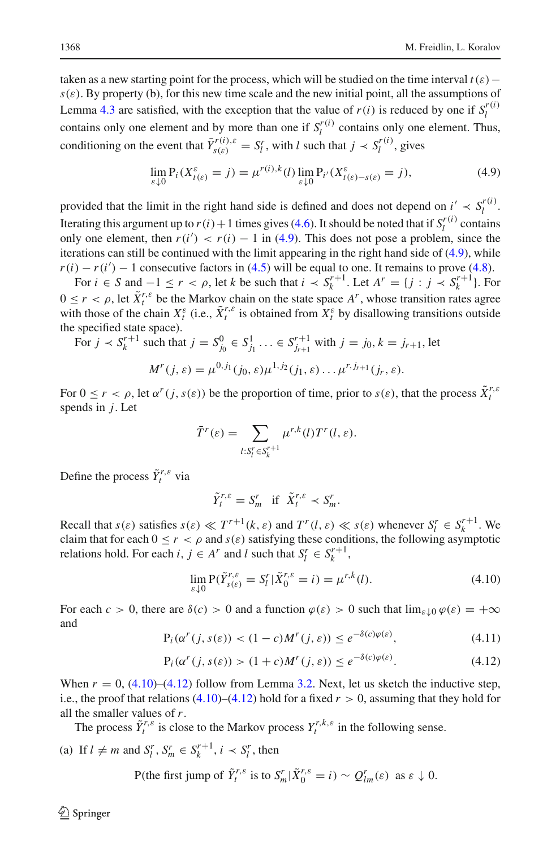taken as a new starting point for the process, which will be studied on the time interval  $t(\varepsilon)$  −  $s(\varepsilon)$ . By property (b), for this new time scale and the new initial point, all the assumptions of Lemma [4.3](#page-11-4) are satisfied, with the exception that the value of  $r(i)$  is reduced by one if  $S_l^{r(i)}$ contains only one element and by more than one if  $S_l^{r(i)}$  contains only one element. Thus, conditioning on the event that  $\bar{Y}^{r(i),\varepsilon}_{s(\varepsilon)} = S_l^r$ , with *l* such that  $j \prec S_l^{r(i)}$ , gives

<span id="page-13-0"></span>
$$
\lim_{\varepsilon \downarrow 0} \mathbf{P}_i(X_{t(\varepsilon)}^{\varepsilon} = j) = \mu^{r(i),k}(l) \lim_{\varepsilon \downarrow 0} \mathbf{P}_{i'}(X_{t(\varepsilon) - s(\varepsilon)}^{\varepsilon} = j),
$$
\n(4.9)

provided that the limit in the right hand side is defined and does not depend on  $i' \prec S_l^{r(i)}$ . Iterating this argument up to  $r(i) + 1$  times gives [\(4.6\)](#page-11-0). It should be noted that if  $S_l^{r(i)}$  contains only one element, then  $r(i') < r(i) - 1$  in [\(4.9\)](#page-13-0). This does not pose a problem, since the iterations can still be continued with the limit appearing in the right hand side of [\(4.9\)](#page-13-0), while  $r(i) - r(i') - 1$  consecutive factors in [\(4.5\)](#page-11-2) will be equal to one. It remains to prove [\(4.8\)](#page-12-0).

For  $i \in S$  and  $-1 \le r < \rho$ , let *k* be such that  $i \prec S_k^{r+1}$ . Let  $A^r = \{j : j \prec S_k^{r+1}\}$ . For  $0 \leq r < \rho$ , let  $\tilde{X}^{r,\varepsilon}_t$  be the Markov chain on the state space  $A^r$ , whose transition rates agree with those of the chain  $X_t^{\varepsilon}$  (i.e.,  $\tilde{X}_t^{r,\varepsilon}$  is obtained from  $X_t^{\varepsilon}$  by disallowing transitions outside the specified state space).

For 
$$
j \prec S_k^{r+1}
$$
 such that  $j = S_{j_0}^0 \in S_{j_1}^1 \ldots \in S_{j_{r+1}}^{r+1}$  with  $j = j_0, k = j_{r+1}$ , let

$$
M^{r}(j,\varepsilon)=\mu^{0,j_1}(j_0,\varepsilon)\mu^{1,j_2}(j_1,\varepsilon)\ldots\mu^{r,j_{r+1}}(j_r,\varepsilon).
$$

For  $0 \le r < \rho$ , let  $\alpha^r(j, s(\varepsilon))$  be the proportion of time, prior to  $s(\varepsilon)$ , that the process  $\tilde{X}_t^{r,s}$ spends in *j*. Let

$$
\bar{T}^r(\varepsilon) = \sum_{l:S_l' \in S_k^{r+1}} \mu^{r,k}(l) T^r(l,\varepsilon).
$$

Define the process  $\tilde{Y}^{r,\varepsilon}_t$  via

$$
\tilde{Y}^{r,\varepsilon}_t = S^r_m \quad \text{if} \quad \tilde{X}^{r,\varepsilon}_t \prec S^r_m.
$$

Recall that  $s(\varepsilon)$  satisfies  $s(\varepsilon) \ll T^{r+1}(k, \varepsilon)$  and  $T^r(l, \varepsilon) \ll s(\varepsilon)$  whenever  $S_l^r \in S_k^{r+1}$ . We claim that for each  $0 \le r < \rho$  and  $s(\varepsilon)$  satisfying these conditions, the following asymptotic relations hold. For each *i*,  $j \in A^r$  and *l* such that  $S_l^r \in S_k^{r+1}$ ,

<span id="page-13-1"></span>
$$
\lim_{\varepsilon \downarrow 0} \mathbf{P}(\tilde{Y}_{s(\varepsilon)}^{r,\varepsilon} = S_l^r | \tilde{X}_0^{r,\varepsilon} = i) = \mu^{r,k}(l). \tag{4.10}
$$

For each  $c > 0$ , there are  $\delta(c) > 0$  and a function  $\varphi(\varepsilon) > 0$  such that  $\lim_{\varepsilon \downarrow 0} \varphi(\varepsilon) = +\infty$ and

<span id="page-13-3"></span>
$$
P_i(\alpha^r(j, s(\varepsilon)) < (1 - c)M^r(j, \varepsilon)) \le e^{-\delta(c)\varphi(\varepsilon)},\tag{4.11}
$$

<span id="page-13-2"></span>
$$
P_i(\alpha^r(j, s(\varepsilon)) > (1+c)M^r(j, \varepsilon)) \le e^{-\delta(c)\varphi(\varepsilon)}.
$$
\n(4.12)

When  $r = 0$ ,  $(4.10)$ – $(4.12)$  follow from Lemma [3.2.](#page-8-10) Next, let us sketch the inductive step, i.e., the proof that relations  $(4.10)$ – $(4.12)$  hold for a fixed  $r > 0$ , assuming that they hold for all the smaller values of *r*.

The process  $\tilde{Y}^{r,\varepsilon}_t$  is close to the Markov process  $Y^{r,\varepsilon,\varepsilon}_t$  in the following sense.

(a) If  $l \neq m$  and  $S_l^r$ ,  $S_m^r \in S_k^{r+1}$ ,  $i \prec S_l^r$ , then

P(the first jump of 
$$
\tilde{Y}_t^{r,\varepsilon}
$$
 is to  $S_m^r |\tilde{X}_0^{r,\varepsilon} = i) \sim Q_{lm}^r(\varepsilon)$  as  $\varepsilon \downarrow 0$ .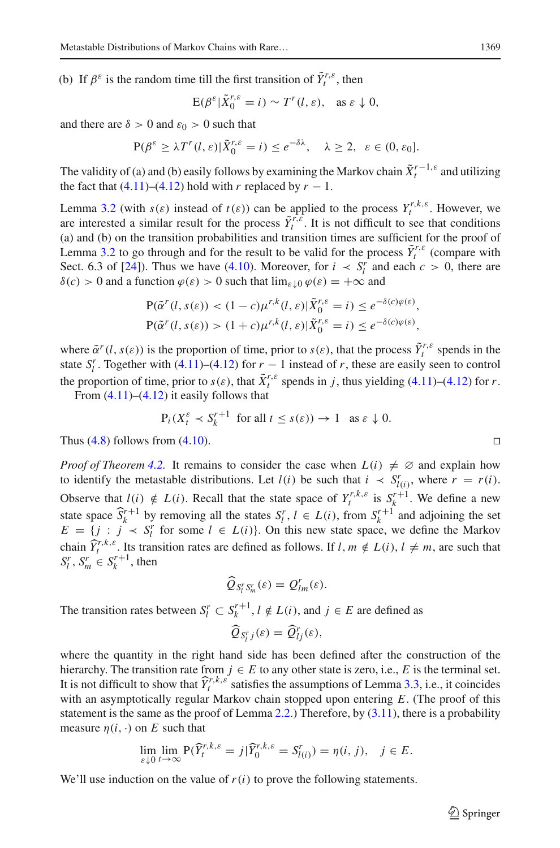(b) If  $\beta^{\varepsilon}$  is the random time till the first transition of  $\tilde{Y}^{r,\varepsilon}$ , then

$$
E(\beta^{\varepsilon}|\tilde{X}_0^{r,\varepsilon}=i) \sim T^r(l,\varepsilon), \text{ as } \varepsilon \downarrow 0,
$$

and there are  $\delta > 0$  and  $\varepsilon_0 > 0$  such that

$$
P(\beta^{\varepsilon} \geq \lambda T^{r}(l, \varepsilon) | \tilde{X}_{0}^{r, \varepsilon} = i) \leq e^{-\delta \lambda}, \quad \lambda \geq 2, \ \varepsilon \in (0, \varepsilon_{0}].
$$

The validity of (a) and (b) easily follows by examining the Markov chain  $\tilde{X}^{r-1,\varepsilon}_t$  and utilizing the fact that  $(4.11)$ – $(4.12)$  hold with *r* replaced by  $r - 1$ .

Lemma [3.2](#page-8-10) (with  $s(\varepsilon)$  instead of  $t(\varepsilon)$ ) can be applied to the process  $Y^{r,k,\varepsilon}_t$ . However, we are interested a similar result for the process  $\tilde{Y}^{r,\varepsilon}_{t}$ . It is not difficult to see that conditions (a) and (b) on the transition probabilities and transition times are sufficient for the proof of Lemma [3.2](#page-8-10) to go through and for the result to be valid for the process  $\tilde{Y}^{r,\varepsilon}_t$  (compare with Sect. 6.3 of [\[24\]](#page-19-4)). Thus we have [\(4.10\)](#page-13-1). Moreover, for  $i \leq S_l^r$  and each  $c > 0$ , there are  $\delta(c) > 0$  and a function  $\varphi(\varepsilon) > 0$  such that  $\lim_{\varepsilon \to 0} \varphi(\varepsilon) = +\infty$  and

$$
P(\tilde{\alpha}^r(l, s(\varepsilon)) < (1 - c)\mu^{r,k}(l, \varepsilon)|\tilde{X}_0^{r,\varepsilon} = i) \le e^{-\delta(c)\varphi(\varepsilon)},
$$
  
 
$$
P(\tilde{\alpha}^r(l, s(\varepsilon)) > (1 + c)\mu^{r,k}(l, \varepsilon)|\tilde{X}_0^{r,\varepsilon} = i) \le e^{-\delta(c)\varphi(\varepsilon)},
$$

where  $\tilde{\alpha}^r(l, s(\varepsilon))$  is the proportion of time, prior to  $s(\varepsilon)$ , that the process  $\tilde{Y}^{r,\varepsilon}_t$  spends in the state  $S_l^r$ . Together with [\(4.11\)](#page-13-3)–[\(4.12\)](#page-13-2) for  $r-1$  instead of *r*, these are easily seen to control the proportion of time, prior to  $s(\varepsilon)$ , that  $\tilde{X}^{r,\varepsilon}$  spends in *j*, thus yielding [\(4.11\)](#page-13-3)–[\(4.12\)](#page-13-2) for *r*.

From  $(4.11)$ – $(4.12)$  it easily follows that

$$
P_i(X_t^{\varepsilon} \prec S_k^{r+1} \text{ for all } t \le s(\varepsilon)) \to 1 \text{ as } \varepsilon \downarrow 0.
$$
  
From (4.10)

Thus  $(4.8)$  follows from  $(4.10)$ .

*Proof of Theorem* [4.2.](#page-10-2) It remains to consider the case when  $L(i) \neq \emptyset$  and explain how to identify the metastable distributions. Let  $l(i)$  be such that  $i \prec S^r_{l(i)}$ , where  $r = r(i)$ . Observe that  $l(i) \notin L(i)$ . Recall that the state space of  $Y_t^{r,k,\varepsilon}$  is  $S_k^{r+1}$ . We define a new state space  $\hat{S}_k^{r+1}$  by removing all the states  $S_l^r$ ,  $l \in L(i)$ , from  $S_k^{r+1}$  and adjoining the set  $E = \{j : j \prec S_l^r \text{ for some } l \in L(i)\}\)$ . On this new state space, we define the Markov chain  $\widehat{Y}_t^{r,k,\varepsilon}$ . Its transition rates are defined as follows. If  $l, m \notin L(i), l \neq m$ , are such that  $S_l^r, S_m^r \in S_k^{r+1}$ , then

$$
\widehat{Q}_{S_l^rS_m^r}(\varepsilon)=Q_{lm}^r(\varepsilon).
$$

The transition rates between  $S_l^r \subset S_k^{r+1}$ ,  $l \notin L(i)$ , and  $j \in E$  are defined as

$$
\widehat{Q}_{S_l^r j}(\varepsilon) = \widehat{Q}_{lj}^r(\varepsilon),
$$

where the quantity in the right hand side has been defined after the construction of the hierarchy. The transition rate from  $j \in E$  to any other state is zero, i.e., *E* is the terminal set. It is not difficult to show that  $\hat{Y}^{r,k,\varepsilon}_t$  satisfies the assumptions of Lemma [3.3,](#page-9-2) i.e., it coincides with an asymptotically regular Markov chain stopped upon entering *E*. (The proof of this statement is the same as the proof of Lemma [2.2.](#page-5-0)) Therefore, by  $(3.11)$ , there is a probability measure  $n(i, \cdot)$  on *E* such that

$$
\lim_{\varepsilon \downarrow 0} \lim_{t \to \infty} \mathbf{P}(\widehat{Y}_t^{r,k,\varepsilon} = j | \widehat{Y}_0^{r,k,\varepsilon} = S_{l(i)}^r) = \eta(i,j), \quad j \in E.
$$

We'll use induction on the value of  $r(i)$  to prove the following statements.

 $\circled{2}$  Springer

$$
\Box
$$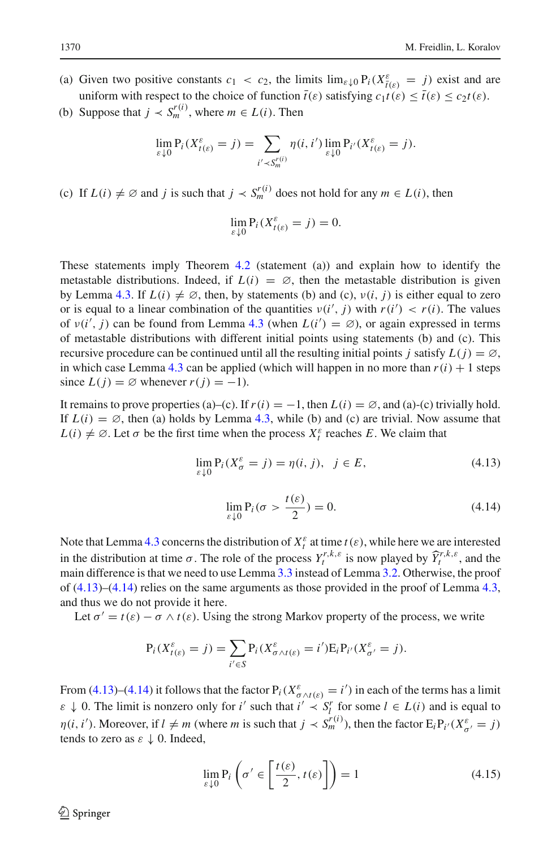(a) Given two positive constants  $c_1 < c_2$ , the limits  $\lim_{\varepsilon \downarrow 0} P_i(X_{\overline{t}(\varepsilon)}^{\varepsilon} = j)$  exist and are uniform with respect to the choice of function  $t(\varepsilon)$  satisfying  $c_1t(\varepsilon) \le t(\varepsilon) \le c_2t(\varepsilon)$ .

(b) Suppose that  $j \prec S_m^{r(i)}$ , where  $m \in L(i)$ . Then

$$
\lim_{\varepsilon \downarrow 0} \mathbf{P}_i(X_{t(\varepsilon)}^{\varepsilon} = j) = \sum_{i' \prec S_m^{r(i)}} \eta(i, i') \lim_{\varepsilon \downarrow 0} \mathbf{P}_{i'}(X_{t(\varepsilon)}^{\varepsilon} = j).
$$

(c) If  $L(i) \neq \emptyset$  and *j* is such that  $j \lt S_m^{r(i)}$  does not hold for any  $m \in L(i)$ , then

$$
\lim_{\varepsilon \downarrow 0} \mathbf{P}_i(X_{t(\varepsilon)}^{\varepsilon} = j) = 0.
$$

These statements imply Theorem [4.2](#page-10-2) (statement (a)) and explain how to identify the metastable distributions. Indeed, if  $L(i) = \emptyset$ , then the metastable distribution is given by Lemma [4.3.](#page-11-4) If  $L(i) \neq \emptyset$ , then, by statements (b) and (c),  $v(i, j)$  is either equal to zero or is equal to a linear combination of the quantities  $v(i', j)$  with  $r(i') < r(i)$ . The values of  $v(i', j)$  can be found from Lemma [4.3](#page-11-4) (when  $L(i') = \emptyset$ ), or again expressed in terms of metastable distributions with different initial points using statements (b) and (c). This recursive procedure can be continued until all the resulting initial points *j* satisfy  $L(j) = \emptyset$ , in which case Lemma [4.3](#page-11-4) can be applied (which will happen in no more than  $r(i) + 1$  steps since  $L(j) = \emptyset$  whenever  $r(j) = -1$ ).

It remains to prove properties (a)–(c). If  $r(i) = -1$ , then  $L(i) = \emptyset$ , and (a)-(c) trivially hold. If  $L(i) = \emptyset$ , then (a) holds by Lemma [4.3,](#page-11-4) while (b) and (c) are trivial. Now assume that  $L(i) \neq \emptyset$ . Let  $\sigma$  be the first time when the process  $X_t^{\varepsilon}$  reaches *E*. We claim that

<span id="page-15-0"></span>
$$
\lim_{\varepsilon \downarrow 0} \mathbf{P}_i(X_\sigma^\varepsilon = j) = \eta(i, j), \ \ j \in E,\tag{4.13}
$$

<span id="page-15-1"></span>
$$
\lim_{\varepsilon \downarrow 0} \mathbf{P}_i(\sigma > \frac{t(\varepsilon)}{2}) = 0. \tag{4.14}
$$

Note that Lemma [4.3](#page-11-4) concerns the distribution of  $X_t^{\varepsilon}$  at time  $t(\varepsilon)$ , while here we are interested in the distribution at time  $\sigma$ . The role of the process  $Y^{r,k,\epsilon}_t$  is now played by  $\hat{Y}^{r,k,\epsilon}_t$ , and the main difference is that we need to use Lemma [3.3](#page-9-2) instead of Lemma [3.2.](#page-8-10) Otherwise, the proof of [\(4.13\)](#page-15-0)–[\(4.14\)](#page-15-1) relies on the same arguments as those provided in the proof of Lemma [4.3,](#page-11-4) and thus we do not provide it here.

Let  $\sigma' = t(\varepsilon) - \sigma \wedge t(\varepsilon)$ . Using the strong Markov property of the process, we write

$$
P_i(X_{t(\varepsilon)}^{\varepsilon} = j) = \sum_{i' \in S} P_i(X_{\sigma \wedge t(\varepsilon)}^{\varepsilon} = i') E_i P_{i'}(X_{\sigma'}^{\varepsilon} = j).
$$

From [\(4.13\)](#page-15-0)–[\(4.14\)](#page-15-1) it follows that the factor  $P_i(X_{\sigma \wedge t(\varepsilon)}^{\varepsilon} = i')$  in each of the terms has a limit  $\varepsilon \downarrow 0$ . The limit is nonzero only for *i'* such that  $i' \prec S_l^r$  for some  $l \in L(i)$  and is equal to  $\eta(i, i')$ . Moreover, if  $l \neq m$  (where *m* is such that  $j \lt S_m^{r(i)}$ ), then the factor  $E_i P_{i'}(X_{\sigma'}^{\varepsilon} = j)$ tends to zero as  $\varepsilon \downarrow 0$ . Indeed,

<span id="page-15-2"></span>
$$
\lim_{\varepsilon \downarrow 0} \mathbf{P}_i \left( \sigma' \in \left[ \frac{t(\varepsilon)}{2}, t(\varepsilon) \right] \right) = 1 \tag{4.15}
$$

 $\circledcirc$  Springer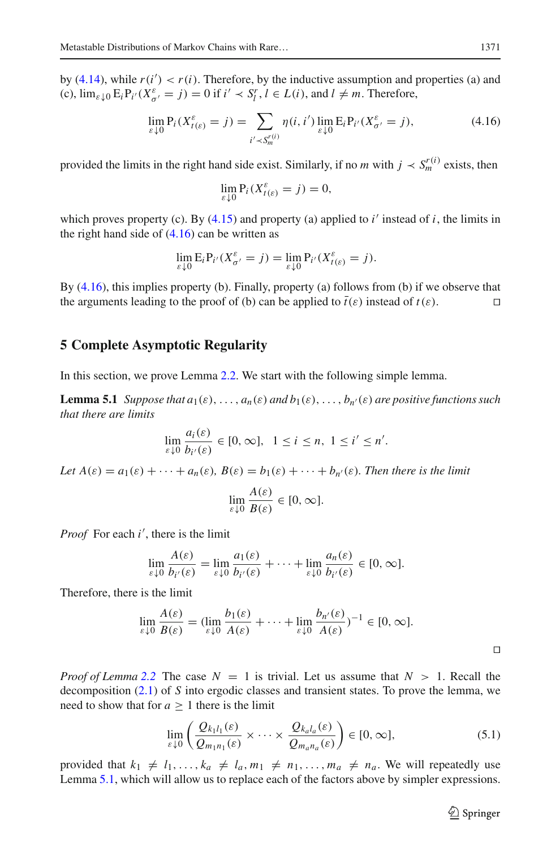by  $(4.14)$ , while  $r(i') < r(i)$ . Therefore, by the inductive assumption and properties (a) and (c),  $\lim_{\varepsilon \downarrow 0} E_i P_{i'}(X_{\sigma'}^{\varepsilon} = j) = 0$  if  $i' \prec S_l^r, l \in L(i)$ , and  $l \neq m$ . Therefore,

<span id="page-16-1"></span>
$$
\lim_{\varepsilon \downarrow 0} P_i(X_{t(\varepsilon)}^{\varepsilon} = j) = \sum_{i' \prec S_m^{r(i)}} \eta(i, i') \lim_{\varepsilon \downarrow 0} E_i P_{i'}(X_{\sigma'}^{\varepsilon} = j), \tag{4.16}
$$

provided the limits in the right hand side exist. Similarly, if no *m* with  $j \lt s_m^{r(i)}$  exists, then

$$
\lim_{\varepsilon \downarrow 0} \mathbf{P}_i(X_{t(\varepsilon)}^{\varepsilon} = j) = 0,
$$

which proves property (c). By  $(4.15)$  and property (a) applied to *i'* instead of *i*, the limits in the right hand side of  $(4.16)$  can be written as

$$
\lim_{\varepsilon \downarrow 0} \mathcal{E}_i \mathcal{P}_{i'} (X_{\sigma'}^{\varepsilon} = j) = \lim_{\varepsilon \downarrow 0} \mathcal{P}_{i'} (X_{t(\varepsilon)}^{\varepsilon} = j).
$$

By [\(4.16\)](#page-16-1), this implies property (b). Finally, property (a) follows from (b) if we observe that the arguments leading to the proof of (b) can be applied to  $\bar{t}(\varepsilon)$  instead of  $t(\varepsilon)$ .

# <span id="page-16-0"></span>**5 Complete Asymptotic Regularity**

In this section, we prove Lemma [2.2.](#page-5-0) We start with the following simple lemma.

**Lemma 5.1** *Suppose that*  $a_1(\varepsilon), \ldots, a_n(\varepsilon)$  *and*  $b_1(\varepsilon), \ldots, b_{n'}(\varepsilon)$  *are positive functions such that there are limits*

$$
\lim_{\varepsilon \downarrow 0} \frac{a_i(\varepsilon)}{b_{i'}(\varepsilon)} \in [0, \infty], \ 1 \le i \le n, \ 1 \le i' \le n'.
$$

*Let*  $A(\varepsilon) = a_1(\varepsilon) + \cdots + a_n(\varepsilon)$ *,*  $B(\varepsilon) = b_1(\varepsilon) + \cdots + b_n(\varepsilon)$ *. Then there is the limit* 

<span id="page-16-2"></span>
$$
\lim_{\varepsilon \downarrow 0} \frac{A(\varepsilon)}{B(\varepsilon)} \in [0, \infty].
$$

*Proof* For each *i* , there is the limit

$$
\lim_{\varepsilon \downarrow 0} \frac{A(\varepsilon)}{b_{i'}(\varepsilon)} = \lim_{\varepsilon \downarrow 0} \frac{a_1(\varepsilon)}{b_{i'}(\varepsilon)} + \cdots + \lim_{\varepsilon \downarrow 0} \frac{a_n(\varepsilon)}{b_{i'}(\varepsilon)} \in [0, \infty].
$$

Therefore, there is the limit

$$
\lim_{\varepsilon \downarrow 0} \frac{A(\varepsilon)}{B(\varepsilon)} = (\lim_{\varepsilon \downarrow 0} \frac{b_1(\varepsilon)}{A(\varepsilon)} + \dots + \lim_{\varepsilon \downarrow 0} \frac{b_{n'}(\varepsilon)}{A(\varepsilon)})^{-1} \in [0, \infty].
$$

*Proof of Lemma* [2.2](#page-5-0) The case  $N = 1$  is trivial. Let us assume that  $N > 1$ . Recall the decomposition [\(2.1\)](#page-3-2) of *S* into ergodic classes and transient states. To prove the lemma, we need to show that for  $a \geq 1$  there is the limit

<span id="page-16-3"></span>
$$
\lim_{\varepsilon \downarrow 0} \left( \frac{Q_{k_1 l_1}(\varepsilon)}{Q_{m_1 n_1}(\varepsilon)} \times \cdots \times \frac{Q_{k_a l_a}(\varepsilon)}{Q_{m_a n_a}(\varepsilon)} \right) \in [0, \infty],
$$
\n(5.1)

provided that  $k_1 \neq l_1, \ldots, k_a \neq l_a, m_1 \neq n_1, \ldots, m_a \neq n_a$ . We will repeatedly use Lemma [5.1,](#page-16-2) which will allow us to replace each of the factors above by simpler expressions.

 $\circled{2}$  Springer

 $\Box$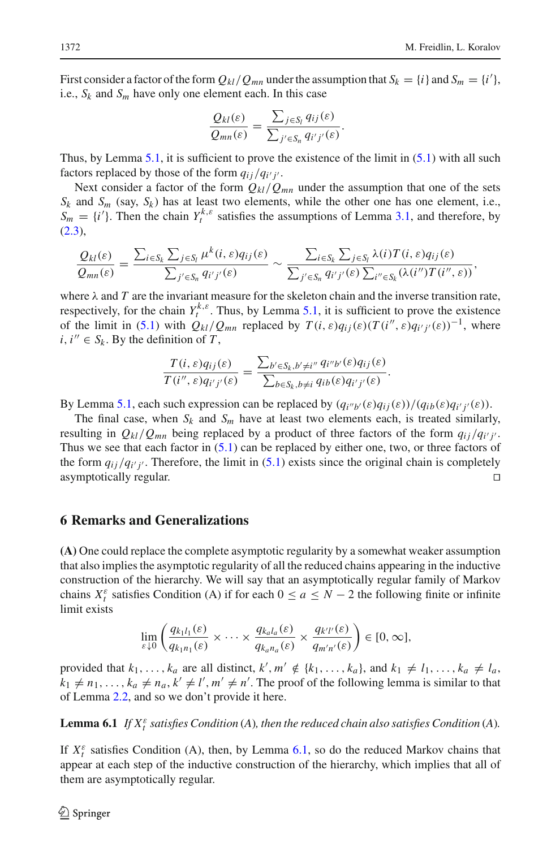First consider a factor of the form  $Q_{kl}/Q_{mn}$  under the assumption that  $S_k = \{i\}$  and  $S_m = \{i'\}$ , i.e.,  $S_k$  and  $S_m$  have only one element each. In this case

$$
\frac{Q_{kl}(\varepsilon)}{Q_{mn}(\varepsilon)}=\frac{\sum_{j\in S_l}q_{ij}(\varepsilon)}{\sum_{j'\in S_n}q_{i'j'}(\varepsilon)}.
$$

Thus, by Lemma [5.1,](#page-16-2) it is sufficient to prove the existence of the limit in  $(5.1)$  with all such factors replaced by those of the form  $q_{ij}/q_{i'j'}$ .

Next consider a factor of the form  $Q_{kl}/Q_{mn}$  under the assumption that one of the sets  $S_k$  and  $S_m$  (say,  $S_k$ ) has at least two elements, while the other one has one element, i.e.,  $S_m = \{i'\}$ . Then the chain  $Y_t^{k,\varepsilon}$  satisfies the assumptions of Lemma [3.1,](#page-7-1) and therefore, by  $(2.3)$ ,

$$
\frac{Q_{kl}(\varepsilon)}{Q_{mn}(\varepsilon)} = \frac{\sum_{i \in S_k} \sum_{j \in S_l} \mu^k(i, \varepsilon) q_{ij}(\varepsilon)}{\sum_{j' \in S_n} q_{i'j'}(\varepsilon)} \sim \frac{\sum_{i \in S_k} \sum_{j \in S_l} \lambda(i) T(i, \varepsilon) q_{ij}(\varepsilon)}{\sum_{j' \in S_n} q_{i'j'}(\varepsilon) \sum_{i'' \in S_k} (\lambda(i'') T(i'', \varepsilon))},
$$

where  $\lambda$  and *T* are the invariant measure for the skeleton chain and the inverse transition rate, respectively, for the chain  $Y_t^{k,\varepsilon}$ . Thus, by Lemma [5.1,](#page-16-2) it is sufficient to prove the existence of the limit in [\(5.1\)](#page-16-3) with  $Q_{kl}/Q_{mn}$  replaced by  $T(i, \varepsilon)q_{ij}(\varepsilon)(T(i'', \varepsilon)q_{i'j'}(\varepsilon))^{-1}$ , where  $i, i'' \in S_k$ . By the definition of *T*,

$$
\frac{T(i,\varepsilon)q_{ij}(\varepsilon)}{T(i'',\varepsilon)q_{i'j'}(\varepsilon)}=\frac{\sum_{b'\in S_k,b'\neq i''}q_{i''b'}(\varepsilon)q_{ij}(\varepsilon)}{\sum_{b\in S_k,b\neq i}q_{ib}(\varepsilon)q_{i'j'}(\varepsilon)}.
$$

By Lemma [5.1,](#page-16-2) each such expression can be replaced by  $(q_{i''b'}(\varepsilon)q_{ij}(\varepsilon))/(q_{ib}(\varepsilon)q_{i'j'}(\varepsilon))$ .

The final case, when  $S_k$  and  $S_m$  have at least two elements each, is treated similarly, resulting in  $Q_{kl}/Q_{mn}$  being replaced by a product of three factors of the form  $q_{ij}/q_{i'j'}$ . Thus we see that each factor in  $(5.1)$  can be replaced by either one, two, or three factors of the form  $q_{ij}/q_{i'j'}$ . Therefore, the limit in [\(5.1\)](#page-16-3) exists since the original chain is completely asymptotically regular.

## <span id="page-17-0"></span>**6 Remarks and Generalizations**

**(A)** One could replace the complete asymptotic regularity by a somewhat weaker assumption that also implies the asymptotic regularity of all the reduced chains appearing in the inductive construction of the hierarchy. We will say that an asymptotically regular family of Markov chains  $X_t^{\varepsilon}$  satisfies Condition (A) if for each  $0 \le a \le N - 2$  the following finite or infinite limit exists

$$
\lim_{\varepsilon \downarrow 0} \left( \frac{q_{k_1 l_1}(\varepsilon)}{q_{k_1 n_1}(\varepsilon)} \times \cdots \times \frac{q_{k_d l_d}(\varepsilon)}{q_{k_a n_a}(\varepsilon)} \times \frac{q_{k'l'}(\varepsilon)}{q_{m'n'}(\varepsilon)} \right) \in [0, \infty],
$$

provided that  $k_1, \ldots, k_a$  are all distinct,  $k', m' \notin \{k_1, \ldots, k_a\}$ , and  $k_1 \neq l_1, \ldots, k_a \neq l_a$ ,  $k_1 \neq n_1, \ldots, k_a \neq n_a, k' \neq l', m' \neq n'.$  The proof of the following lemma is similar to that of Lemma [2.2,](#page-5-0) and so we don't provide it here.

<span id="page-17-1"></span>**Lemma 6.1** *If*  $X_t^{\varepsilon}$  *satisfies Condition* (*A*)*, then the reduced chain also satisfies Condition* (*A*)*.* 

If  $X_t^{\varepsilon}$  satisfies Condition (A), then, by Lemma [6.1,](#page-17-1) so do the reduced Markov chains that appear at each step of the inductive construction of the hierarchy, which implies that all of them are asymptotically regular.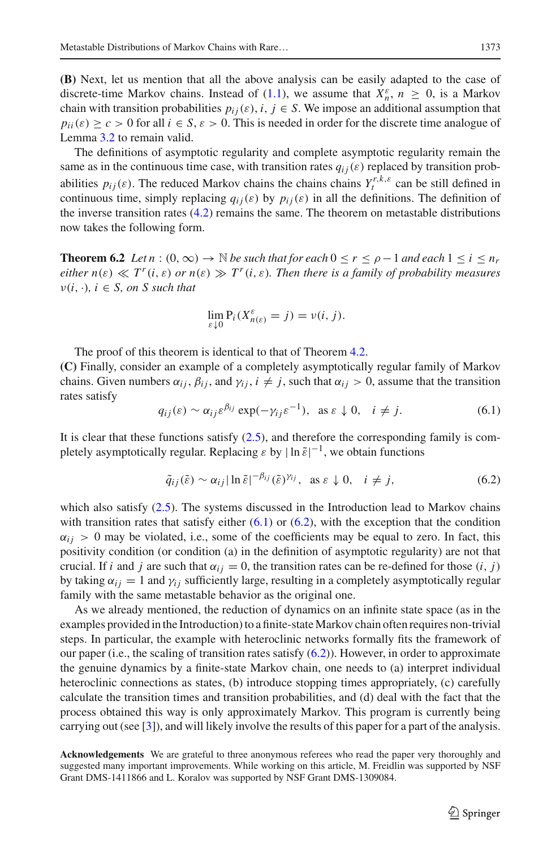**(B)** Next, let us mention that all the above analysis can be easily adapted to the case of discrete-time Markov chains. Instead of [\(1.1\)](#page-0-0), we assume that  $X_n^{\varepsilon}$ ,  $n \geq 0$ , is a Markov chain with transition probabilities  $p_{ij}(\varepsilon)$ ,  $i, j \in S$ . We impose an additional assumption that  $p_{ii}(\varepsilon) > c > 0$  for all  $i \in S$ ,  $\varepsilon > 0$ . This is needed in order for the discrete time analogue of Lemma [3.2](#page-8-10) to remain valid.

The definitions of asymptotic regularity and complete asymptotic regularity remain the same as in the continuous time case, with transition rates  $q_{ij}(\varepsilon)$  replaced by transition probabilities  $p_{ij}(\varepsilon)$ . The reduced Markov chains the chains chains  $Y^{r,k,\varepsilon}_t$  can be still defined in continuous time, simply replacing  $q_{ij}(\varepsilon)$  by  $p_{ij}(\varepsilon)$  in all the definitions. The definition of the inverse transition rates  $(4.2)$  remains the same. The theorem on metastable distributions now takes the following form.

**Theorem 6.2** *Let*  $n : (0, \infty) \to \mathbb{N}$  *be such that for each*  $0 \le r \le \rho - 1$  *and each*  $1 \le i \le n_r$ *either*  $n(\varepsilon) \ll T^r(i, \varepsilon)$  *or*  $n(\varepsilon) \gg T^r(i, \varepsilon)$ *. Then there is a family of probability measures*  $v(i, \cdot), i \in S$ , on S such that

$$
\lim_{\varepsilon \downarrow 0} \mathbf{P}_i(X_{n(\varepsilon)}^{\varepsilon} = j) = \nu(i, j).
$$

The proof of this theorem is identical to that of Theorem [4.2.](#page-10-2)

**(C)** Finally, consider an example of a completely asymptotically regular family of Markov chains. Given numbers  $\alpha_{ij}$ ,  $\beta_{ij}$ , and  $\gamma_{ij}$ ,  $i \neq j$ , such that  $\alpha_{ij} > 0$ , assume that the transition rates satisfy

<span id="page-18-0"></span>
$$
q_{ij}(\varepsilon) \sim \alpha_{ij}\varepsilon^{\beta_{ij}} \exp(-\gamma_{ij}\varepsilon^{-1}), \text{ as } \varepsilon \downarrow 0, \quad i \neq j. \tag{6.1}
$$

It is clear that these functions satisfy [\(2.5\)](#page-5-1), and therefore the corresponding family is completely asymptotically regular. Replacing  $\varepsilon$  by  $|\ln \tilde{\varepsilon}|^{-1}$ , we obtain functions

<span id="page-18-1"></span>
$$
\tilde{q}_{ij}(\tilde{\varepsilon}) \sim \alpha_{ij} |\ln \tilde{\varepsilon}|^{-\beta_{ij}} (\tilde{\varepsilon})^{\gamma_{ij}}, \ \ \text{as } \varepsilon \downarrow 0, \quad i \neq j,
$$
\n
$$
(6.2)
$$

which also satisfy [\(2.5\)](#page-5-1). The systems discussed in the Introduction lead to Markov chains with transition rates that satisfy either  $(6.1)$  or  $(6.2)$ , with the exception that the condition  $\alpha_{ij} > 0$  may be violated, i.e., some of the coefficients may be equal to zero. In fact, this positivity condition (or condition (a) in the definition of asymptotic regularity) are not that crucial. If *i* and *j* are such that  $\alpha_{ij} = 0$ , the transition rates can be re-defined for those  $(i, j)$ by taking  $\alpha_{ij} = 1$  and  $\gamma_{ij}$  sufficiently large, resulting in a completely asymptotically regular family with the same metastable behavior as the original one.

As we already mentioned, the reduction of dynamics on an infinite state space (as in the examples provided in the Introduction) to a finite-stateMarkov chain often requires non-trivial steps. In particular, the example with heteroclinic networks formally fits the framework of our paper (i.e., the scaling of transition rates satisfy  $(6.2)$ ). However, in order to approximate the genuine dynamics by a finite-state Markov chain, one needs to (a) interpret individual heteroclinic connections as states, (b) introduce stopping times appropriately, (c) carefully calculate the transition times and transition probabilities, and (d) deal with the fact that the process obtained this way is only approximately Markov. This program is currently being carrying out (see [\[3](#page-19-23)]), and will likely involve the results of this paper for a part of the analysis.

**Acknowledgements** We are grateful to three anonymous referees who read the paper very thoroughly and suggested many important improvements. While working on this article, M. Freidlin was supported by NSF Grant DMS-1411866 and L. Koralov was supported by NSF Grant DMS-1309084.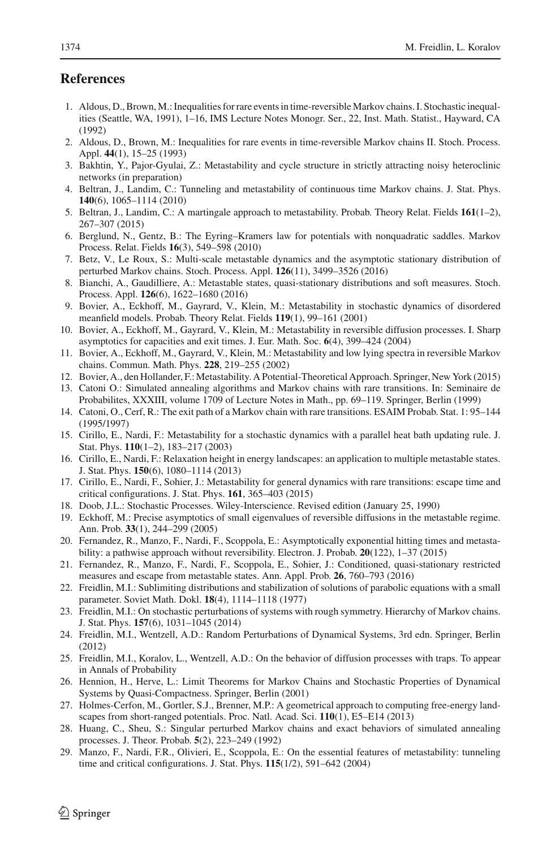# **References**

- <span id="page-19-18"></span>1. Aldous, D., Brown, M.: Inequalities for rare events in time-reversible Markov chains. I. Stochastic inequalities (Seattle, WA, 1991), 1–16, IMS Lecture Notes Monogr. Ser., 22, Inst. Math. Statist., Hayward, CA (1992)
- <span id="page-19-19"></span>2. Aldous, D., Brown, M.: Inequalities for rare events in time-reversible Markov chains II. Stoch. Process. Appl. **44**(1), 15–25 (1993)
- <span id="page-19-23"></span>3. Bakhtin, Y., Pajor-Gyulai, Z.: Metastability and cycle structure in strictly attracting noisy heteroclinic networks (in preparation)
- <span id="page-19-12"></span>4. Beltran, J., Landim, C.: Tunneling and metastability of continuous time Markov chains. J. Stat. Phys. **140**(6), 1065–1114 (2010)
- <span id="page-19-13"></span>5. Beltran, J., Landim, C.: A martingale approach to metastability. Probab. Theory Relat. Fields **161**(1–2), 267–307 (2015)
- <span id="page-19-5"></span>6. Berglund, N., Gentz, B.: The Eyring–Kramers law for potentials with nonquadratic saddles. Markov Process. Relat. Fields **16**(3), 549–598 (2010)
- <span id="page-19-24"></span>7. Betz, V., Le Roux, S.: Multi-scale metastable dynamics and the asymptotic stationary distribution of perturbed Markov chains. Stoch. Process. Appl. **126**(11), 3499–3526 (2016)
- <span id="page-19-16"></span>8. Bianchi, A., Gaudilliere, A.: Metastable states, quasi-stationary distributions and soft measures. Stoch. Process. Appl. **126**(6), 1622–1680 (2016)
- <span id="page-19-10"></span>9. Bovier, A., Eckhoff, M., Gayrard, V., Klein, M.: Metastability in stochastic dynamics of disordered meanfield models. Probab. Theory Relat. Fields **119**(1), 99–161 (2001)
- <span id="page-19-6"></span>10. Bovier, A., Eckhoff, M., Gayrard, V., Klein, M.: Metastability in reversible diffusion processes. I. Sharp asymptotics for capacities and exit times. J. Eur. Math. Soc. **6**(4), 399–424 (2004)
- 11. Bovier, A., Eckhoff, M., Gayrard, V., Klein, M.: Metastability and low lying spectra in reversible Markov chains. Commun. Math. Phys. **228**, 219–255 (2002)
- <span id="page-19-0"></span>12. Bovier, A., den Hollander, F.: Metastability. A Potential-Theoretical Approach. Springer, New York (2015)
- <span id="page-19-14"></span>13. Catoni O.: Simulated annealing algorithms and Markov chains with rare transitions. In: Seminaire de Probabilites, XXXIII, volume 1709 of Lecture Notes in Math., pp. 69–119. Springer, Berlin (1999)
- <span id="page-19-22"></span>14. Catoni, O., Cerf, R.: The exit path of a Markov chain with rare transitions. ESAIM Probab. Stat. 1: 95–144 (1995/1997)
- <span id="page-19-1"></span>15. Cirillo, E., Nardi, F.: Metastability for a stochastic dynamics with a parallel heat bath updating rule. J. Stat. Phys. **110**(1–2), 183–217 (2003)
- <span id="page-19-2"></span>16. Cirillo, E., Nardi, F.: Relaxation height in energy landscapes: an application to multiple metastable states. J. Stat. Phys. **150**(6), 1080–1114 (2013)
- <span id="page-19-20"></span>17. Cirillo, E., Nardi, F., Sohier, J.: Metastability for general dynamics with rare transitions: escape time and critical configurations. J. Stat. Phys. **161**, 365–403 (2015)
- <span id="page-19-25"></span>18. Doob, J.L.: Stochastic Processes. Wiley-Interscience. Revised edition (January 25, 1990)
- <span id="page-19-11"></span>19. Eckhoff, M.: Precise asymptotics of small eigenvalues of reversible diffusions in the metastable regime. Ann. Prob. **33**(1), 244–299 (2005)
- <span id="page-19-21"></span>20. Fernandez, R., Manzo, F., Nardi, F., Scoppola, E.: Asymptotically exponential hitting times and metastability: a pathwise approach without reversibility. Electron. J. Probab. **20**(122), 1–37 (2015)
- <span id="page-19-17"></span>21. Fernandez, R., Manzo, F., Nardi, F., Scoppola, E., Sohier, J.: Conditioned, quasi-stationary restricted measures and escape from metastable states. Ann. Appl. Prob. **26**, 760–793 (2016)
- <span id="page-19-7"></span>22. Freidlin, M.I.: Sublimiting distributions and stabilization of solutions of parabolic equations with a small parameter. Soviet Math. Dokl. **18**(4), 1114–1118 (1977)
- <span id="page-19-8"></span>23. Freidlin, M.I.: On stochastic perturbations of systems with rough symmetry. Hierarchy of Markov chains. J. Stat. Phys. **157**(6), 1031–1045 (2014)
- <span id="page-19-4"></span>24. Freidlin, M.I., Wentzell, A.D.: Random Perturbations of Dynamical Systems, 3rd edn. Springer, Berlin (2012)
- <span id="page-19-9"></span>25. Freidlin, M.I., Koralov, L., Wentzell, A.D.: On the behavior of diffusion processes with traps. To appear in Annals of Probability
- <span id="page-19-26"></span>26. Hennion, H., Herve, L.: Limit Theorems for Markov Chains and Stochastic Properties of Dynamical Systems by Quasi-Compactness. Springer, Berlin (2001)
- 27. Holmes-Cerfon, M., Gortler, S.J., Brenner, M.P.: A geometrical approach to computing free-energy landscapes from short-ranged potentials. Proc. Natl. Acad. Sci. **110**(1), E5–E14 (2013)
- <span id="page-19-15"></span>28. Huang, C., Sheu, S.: Singular perturbed Markov chains and exact behaviors of simulated annealing processes. J. Theor. Probab. **5**(2), 223–249 (1992)
- <span id="page-19-3"></span>29. Manzo, F., Nardi, F.R., Olivieri, E., Scoppola, E.: On the essential features of metastability: tunneling time and critical configurations. J. Stat. Phys. **115**(1/2), 591–642 (2004)